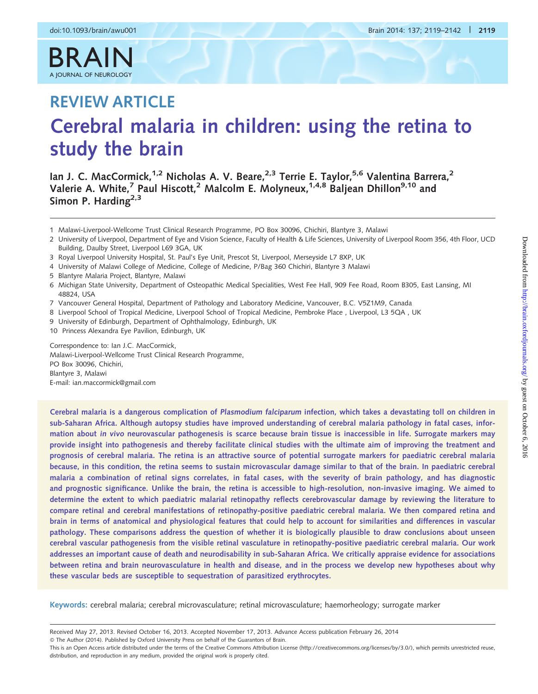# $R \triangle$ A JOURNAL OF NEUROLOGY

# REVIEW ARTICLE Cerebral malaria in children: using the retina to study the brain

Ian J. C. MacCormick,<sup>1,2</sup> Nicholas A. V. Beare,<sup>2,3</sup> Terrie E. Taylor,<sup>5,6</sup> Valentina Barrera,<sup>2</sup> Valerie A. White,<sup>7</sup> Paul Hiscott,<sup>2</sup> Malcolm E. Molyneux,<sup>1,4,8</sup> Baljean Dhillon<sup>9,10</sup> and Simon P. Harding<sup>2,3</sup>

1 Malawi-Liverpool-Wellcome Trust Clinical Research Programme, PO Box 30096, Chichiri, Blantyre 3, Malawi

2 University of Liverpool, Department of Eye and Vision Science, Faculty of Health & Life Sciences, University of Liverpool Room 356, 4th Floor, UCD Building, Daulby Street, Liverpool L69 3GA, UK

- 3 Royal Liverpool University Hospital, St. Paul's Eye Unit, Prescot St, Liverpool, Merseyside L7 8XP, UK
- 4 University of Malawi College of Medicine, College of Medicine, P/Bag 360 Chichiri, Blantyre 3 Malawi
- 5 Blantyre Malaria Project, Blantyre, Malawi
- 6 Michigan State University, Department of Osteopathic Medical Specialities, West Fee Hall, 909 Fee Road, Room B305, East Lansing, MI 48824, USA
- 7 Vancouver General Hospital, Department of Pathology and Laboratory Medicine, Vancouver, B.C. V5Z1M9, Canada
- 8 Liverpool School of Tropical Medicine, Liverpool School of Tropical Medicine, Pembroke Place, Liverpool, L3 5QA, UK
- 9 University of Edinburgh, Department of Ophthalmology, Edinburgh, UK
- 10 Princess Alexandra Eye Pavilion, Edinburgh, UK

Correspondence to: Ian J.C. MacCormick, Malawi-Liverpool-Wellcome Trust Clinical Research Programme, PO Box 30096, Chichiri, Blantyre 3, Malawi E-mail: ian.maccormick@gmail.com

Cerebral malaria is a dangerous complication of Plasmodium falciparum infection, which takes a devastating toll on children in sub-Saharan Africa. Although autopsy studies have improved understanding of cerebral malaria pathology in fatal cases, information about in vivo neurovascular pathogenesis is scarce because brain tissue is inaccessible in life. Surrogate markers may provide insight into pathogenesis and thereby facilitate clinical studies with the ultimate aim of improving the treatment and prognosis of cerebral malaria. The retina is an attractive source of potential surrogate markers for paediatric cerebral malaria because, in this condition, the retina seems to sustain microvascular damage similar to that of the brain. In paediatric cerebral malaria a combination of retinal signs correlates, in fatal cases, with the severity of brain pathology, and has diagnostic and prognostic significance. Unlike the brain, the retina is accessible to high-resolution, non-invasive imaging. We aimed to determine the extent to which paediatric malarial retinopathy reflects cerebrovascular damage by reviewing the literature to compare retinal and cerebral manifestations of retinopathy-positive paediatric cerebral malaria. We then compared retina and brain in terms of anatomical and physiological features that could help to account for similarities and differences in vascular pathology. These comparisons address the question of whether it is biologically plausible to draw conclusions about unseen cerebral vascular pathogenesis from the visible retinal vasculature in retinopathy-positive paediatric cerebral malaria. Our work addresses an important cause of death and neurodisability in sub-Saharan Africa. We critically appraise evidence for associations between retina and brain neurovasculature in health and disease, and in the process we develop new hypotheses about why these vascular beds are susceptible to sequestration of parasitized erythrocytes.

Keywords: cerebral malaria; cerebral microvasculature; retinal microvasculature; haemorheology; surrogate marker

Received May 27, 2013. Revised October 16, 2013. Accepted November 17, 2013. Advance Access publication February 26, 2014

<sup>-</sup> The Author (2014). Published by Oxford University Press on behalf of the Guarantors of Brain.

This is an Open Access article distributed under the terms of the Creative Commons Attribution License (http://creativecommons.org/licenses/by/3.0/), which permits unrestricted reuse, distribution, and reproduction in any medium, provided the original work is properly cited.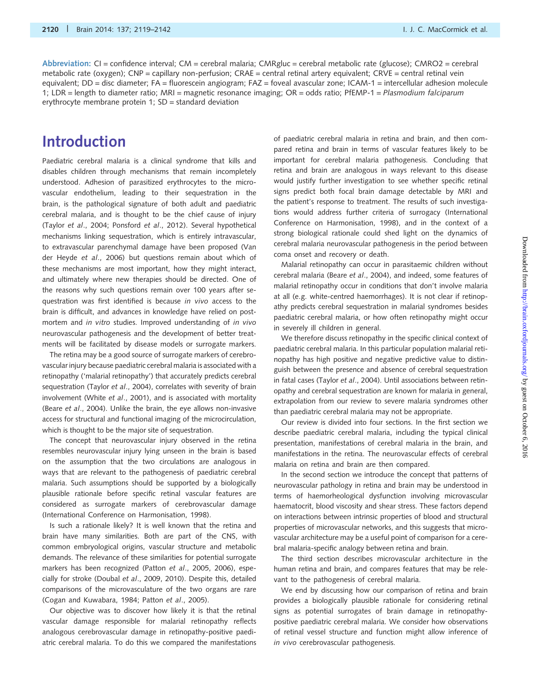Abbreviation:  $CI =$  confidence interval;  $CM =$  cerebral malaria;  $CMRgluc =$  cerebral metabolic rate (glucose);  $CMRO2 =$  cerebral metabolic rate (oxygen); CNP = capillary non-perfusion; CRAE = central retinal artery equivalent; CRVE = central retinal vein equivalent; DD = disc diameter; FA = fluorescein angiogram; FAZ = foveal avascular zone; ICAM-1 = intercellular adhesion molecule 1; LDR = length to diameter ratio; MRI = magnetic resonance imaging; OR = odds ratio; PfEMP-1 = Plasmodium falciparum erythrocyte membrane protein 1; SD = standard deviation

# Introduction

Paediatric cerebral malaria is a clinical syndrome that kills and disables children through mechanisms that remain incompletely understood. Adhesion of parasitized erythrocytes to the microvascular endothelium, leading to their sequestration in the brain, is the pathological signature of both adult and paediatric cerebral malaria, and is thought to be the chief cause of injury (Taylor et al[., 2004;](#page-22-0) [Ponsford](#page-21-0) et al., 2012). Several hypothetical mechanisms linking sequestration, which is entirely intravascular, to extravascular parenchymal damage have been proposed ([Van](#page-20-0) [der Heyde](#page-20-0) et al., 2006) but questions remain about which of these mechanisms are most important, how they might interact, and ultimately where new therapies should be directed. One of the reasons why such questions remain over 100 years after sequestration was first identified is because in vivo access to the brain is difficult, and advances in knowledge have relied on postmortem and in vitro studies. Improved understanding of in vivo neurovascular pathogenesis and the development of better treatments will be facilitated by disease models or surrogate markers.

The retina may be a good source of surrogate markers of cerebrovascular injury because paediatric cerebral malaria is associated with a retinopathy ('malarial retinopathy') that accurately predicts cerebral sequestration (Taylor et al[., 2004\)](#page-22-0), correlates with severity of brain involvement (White et al[., 2001](#page-22-0)), and is associated with mortality (Beare et al[., 2004](#page-19-0)). Unlike the brain, the eye allows non-invasive access for structural and functional imaging of the microcirculation, which is thought to be the major site of sequestration.

The concept that neurovascular injury observed in the retina resembles neurovascular injury lying unseen in the brain is based on the assumption that the two circulations are analogous in ways that are relevant to the pathogenesis of paediatric cerebral malaria. Such assumptions should be supported by a biologically plausible rationale before specific retinal vascular features are considered as surrogate markers of cerebrovascular damage [\(International Conference on Harmonisation, 1998\)](#page-20-0).

Is such a rationale likely? It is well known that the retina and brain have many similarities. Both are part of the CNS, with common embryological origins, vascular structure and metabolic demands. The relevance of these similarities for potential surrogate markers has been recognized (Patton et al[., 2005](#page-21-0), [2006](#page-21-0)), especially for stroke (Doubal et al[., 2009, 2010](#page-19-0)). Despite this, detailed comparisons of the microvasculature of the two organs are rare [\(Cogan and Kuwabara, 1984](#page-19-0); Patton et al[., 2005](#page-21-0)).

Our objective was to discover how likely it is that the retinal vascular damage responsible for malarial retinopathy reflects analogous cerebrovascular damage in retinopathy-positive paediatric cerebral malaria. To do this we compared the manifestations of paediatric cerebral malaria in retina and brain, and then compared retina and brain in terms of vascular features likely to be important for cerebral malaria pathogenesis. Concluding that retina and brain are analogous in ways relevant to this disease would justify further investigation to see whether specific retinal signs predict both focal brain damage detectable by MRI and the patient's response to treatment. The results of such investigations would address further criteria of surrogacy [\(International](#page-20-0) [Conference on Harmonisation, 1998](#page-20-0)), and in the context of a strong biological rationale could shed light on the dynamics of cerebral malaria neurovascular pathogenesis in the period between coma onset and recovery or death.

Malarial retinopathy can occur in parasitaemic children without cerebral malaria (Beare et al[., 2004\)](#page-19-0), and indeed, some features of malarial retinopathy occur in conditions that don't involve malaria at all (e.g. white-centred haemorrhages). It is not clear if retinopathy predicts cerebral sequestration in malarial syndromes besides paediatric cerebral malaria, or how often retinopathy might occur in severely ill children in general.

We therefore discuss retinopathy in the specific clinical context of paediatric cerebral malaria. In this particular population malarial retinopathy has high positive and negative predictive value to distinguish between the presence and absence of cerebral sequestration in fatal cases (Taylor et al[., 2004](#page-22-0)). Until associations between retinopathy and cerebral sequestration are known for malaria in general, extrapolation from our review to severe malaria syndromes other than paediatric cerebral malaria may not be appropriate.

Our review is divided into four sections. In the first section we describe paediatric cerebral malaria, including the typical clinical presentation, manifestations of cerebral malaria in the brain, and manifestations in the retina. The neurovascular effects of cerebral malaria on retina and brain are then compared.

In the second section we introduce the concept that patterns of neurovascular pathology in retina and brain may be understood in terms of haemorheological dysfunction involving microvascular haematocrit, blood viscosity and shear stress. These factors depend on interactions between intrinsic properties of blood and structural properties of microvascular networks, and this suggests that microvascular architecture may be a useful point of comparison for a cerebral malaria-specific analogy between retina and brain.

The third section describes microvascular architecture in the human retina and brain, and compares features that may be relevant to the pathogenesis of cerebral malaria.

We end by discussing how our comparison of retina and brain provides a biologically plausible rationale for considering retinal signs as potential surrogates of brain damage in retinopathypositive paediatric cerebral malaria. We consider how observations of retinal vessel structure and function might allow inference of in vivo cerebrovascular pathogenesis.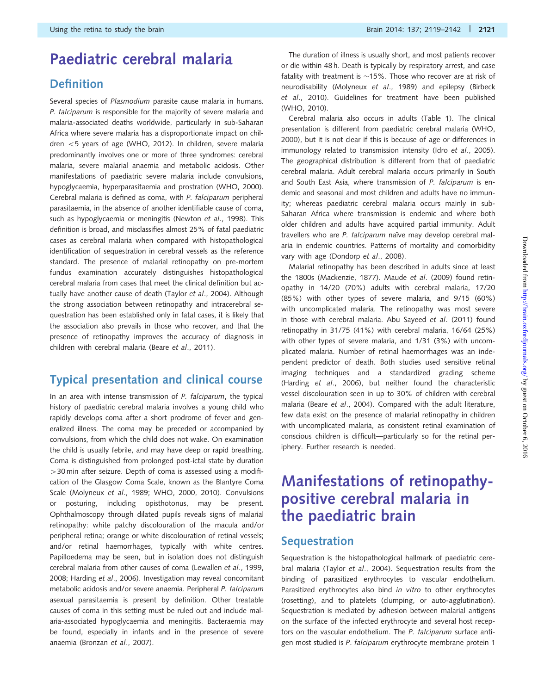# Paediatric cerebral malaria

### Definition

Several species of Plasmodium parasite cause malaria in humans. P. falciparum is responsible for the majority of severe malaria and malaria-associated deaths worldwide, particularly in sub-Saharan Africa where severe malaria has a disproportionate impact on chil-dren <5 years of age ([WHO, 2012](#page-22-0)). In children, severe malaria predominantly involves one or more of three syndromes: cerebral malaria, severe malarial anaemia and metabolic acidosis. Other manifestations of paediatric severe malaria include convulsions, hypoglycaemia, hyperparasitaemia and prostration [\(WHO, 2000](#page-22-0)). Cerebral malaria is defined as coma, with P. falciparum peripheral parasitaemia, in the absence of another identifiable cause of coma, such as hypoglycaemia or meningitis [\(Newton](#page-21-0) et al., 1998). This definition is broad, and misclassifies almost 25% of fatal paediatric cases as cerebral malaria when compared with histopathological identification of sequestration in cerebral vessels as the reference standard. The presence of malarial retinopathy on pre-mortem fundus examination accurately distinguishes histopathological cerebral malaria from cases that meet the clinical definition but actually have another cause of death (Taylor et al[., 2004\)](#page-22-0). Although the strong association between retinopathy and intracerebral sequestration has been established only in fatal cases, it is likely that the association also prevails in those who recover, and that the presence of retinopathy improves the accuracy of diagnosis in children with cerebral malaria (Beare et al[., 2011](#page-19-0)).

### Typical presentation and clinical course

In an area with intense transmission of P. falciparum, the typical history of paediatric cerebral malaria involves a young child who rapidly develops coma after a short prodrome of fever and generalized illness. The coma may be preceded or accompanied by convulsions, from which the child does not wake. On examination the child is usually febrile, and may have deep or rapid breathing. Coma is distinguished from prolonged post-ictal state by duration  $>$  30 min after seizure. Depth of coma is assessed using a modification of the Glasgow Coma Scale, known as the Blantyre Coma Scale [\(Molyneux](#page-21-0) et al., 1989; [WHO, 2000](#page-22-0), [2010\)](#page-22-0). Convulsions or posturing, including opisthotonus, may be present. Ophthalmoscopy through dilated pupils reveals signs of malarial retinopathy: white patchy discolouration of the macula and/or peripheral retina; orange or white discolouration of retinal vessels; and/or retinal haemorrhages, typically with white centres. Papilloedema may be seen, but in isolation does not distinguish cerebral malaria from other causes of coma ([Lewallen](#page-20-0) et al., 1999, [2008](#page-20-0); [Harding](#page-20-0) et al., 2006). Investigation may reveal concomitant metabolic acidosis and/or severe anaemia. Peripheral P. falciparum asexual parasitaemia is present by definition. Other treatable causes of coma in this setting must be ruled out and include malaria-associated hypoglycaemia and meningitis. Bacteraemia may be found, especially in infants and in the presence of severe anaemia [\(Bronzan](#page-19-0) et al., 2007).

The duration of illness is usually short, and most patients recover or die within 48 h. Death is typically by respiratory arrest, and case fatality with treatment is  ${\sim}$ 15%. Those who recover are at risk of neurodisability ([Molyneux](#page-21-0) et al., 1989) and epilepsy [\(Birbeck](#page-19-0) et al[., 2010\)](#page-19-0). Guidelines for treatment have been published [\(WHO, 2010](#page-22-0)).

Cerebral malaria also occurs in adults ([Table 1](#page-3-0)). The clinical presentation is different from paediatric cerebral malaria ([WHO,](#page-22-0) [2000](#page-22-0)), but it is not clear if this is because of age or differences in immunology related to transmission intensity (Idro et al[., 2005](#page-20-0)). The geographical distribution is different from that of paediatric cerebral malaria. Adult cerebral malaria occurs primarily in South and South East Asia, where transmission of P. falciparum is endemic and seasonal and most children and adults have no immunity; whereas paediatric cerebral malaria occurs mainly in sub-Saharan Africa where transmission is endemic and where both older children and adults have acquired partial immunity. Adult travellers who are P. falciparum naïve may develop cerebral malaria in endemic countries. Patterns of mortality and comorbidity vary with age [\(Dondorp](#page-19-0) et al., 2008).

Malarial retinopathy has been described in adults since at least the 1800s ([Mackenzie, 1877\)](#page-20-0). Maude et al[. \(2009\)](#page-20-0) found retinopathy in 14/20 (70%) adults with cerebral malaria, 17/20 (85%) with other types of severe malaria, and 9/15 (60%) with uncomplicated malaria. The retinopathy was most severe in those with cerebral malaria. [Abu Sayeed](#page-18-0) et al. (2011) found retinopathy in 31/75 (41%) with cerebral malaria, 16/64 (25%) with other types of severe malaria, and 1/31 (3%) with uncomplicated malaria. Number of retinal haemorrhages was an independent predictor of death. Both studies used sensitive retinal imaging techniques and a standardized grading scheme (Harding et al[., 2006](#page-20-0)), but neither found the characteristic vessel discolouration seen in up to 30% of children with cerebral malaria (Beare et al[., 2004\)](#page-19-0). Compared with the adult literature, few data exist on the presence of malarial retinopathy in children with uncomplicated malaria, as consistent retinal examination of conscious children is difficult—particularly so for the retinal periphery. Further research is needed.

# Manifestations of retinopathypositive cerebral malaria in the paediatric brain

### **Sequestration**

Sequestration is the histopathological hallmark of paediatric cerebral malaria (Taylor et al[., 2004](#page-22-0)). Sequestration results from the binding of parasitized erythrocytes to vascular endothelium. Parasitized erythrocytes also bind in vitro to other erythrocytes (rosetting), and to platelets (clumping, or auto-agglutination). Sequestration is mediated by adhesion between malarial antigens on the surface of the infected erythrocyte and several host receptors on the vascular endothelium. The P. falciparum surface antigen most studied is P. falciparum erythrocyte membrane protein 1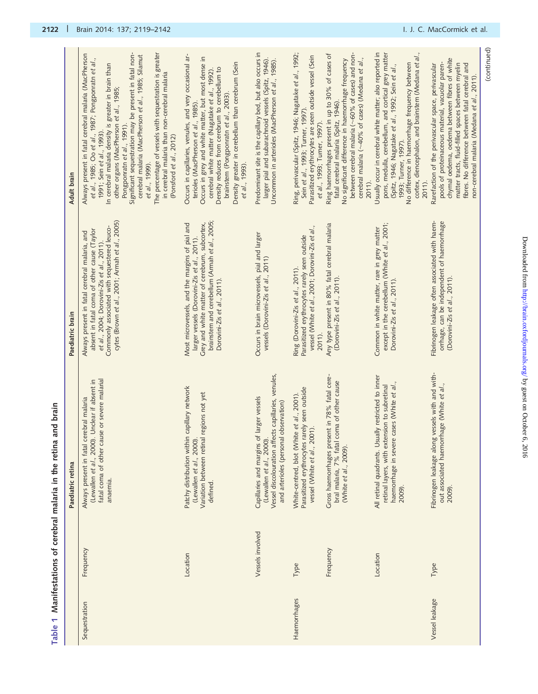| $\alpha$                     |
|------------------------------|
|                              |
|                              |
|                              |
|                              |
|                              |
|                              |
|                              |
| :                            |
|                              |
|                              |
|                              |
|                              |
|                              |
|                              |
|                              |
|                              |
|                              |
|                              |
|                              |
|                              |
|                              |
|                              |
|                              |
|                              |
| ¢                            |
|                              |
|                              |
|                              |
| i                            |
| ١                            |
|                              |
|                              |
| i macar cir (ciccoci ci tici |
|                              |
|                              |
|                              |

<span id="page-3-0"></span>

| Table 1        |                  | Manifestations of cerebral malaria in the retina and brain                                                                                                            |                                                                                                                                                                                                                                            |                                                                                                                                                                                                                                                                                                                                                                                                                                                                                                                                                  |
|----------------|------------------|-----------------------------------------------------------------------------------------------------------------------------------------------------------------------|--------------------------------------------------------------------------------------------------------------------------------------------------------------------------------------------------------------------------------------------|--------------------------------------------------------------------------------------------------------------------------------------------------------------------------------------------------------------------------------------------------------------------------------------------------------------------------------------------------------------------------------------------------------------------------------------------------------------------------------------------------------------------------------------------------|
|                |                  | Paediatric retina                                                                                                                                                     | Paediatric brain                                                                                                                                                                                                                           | Adult brain                                                                                                                                                                                                                                                                                                                                                                                                                                                                                                                                      |
| Sequestration  | Frequency        | or severe malarial<br>(Lewallen et al., 2000). Unclear if absent in<br>Always present in fatal cerebral malaria<br>fatal coma of other cause<br>anaemia.              | cytes (Brown et al., 2001; Armah et al., 2005)<br>Commonly associated with sequestered leuco-<br>absent in fatal coma of other cause (Taylor<br>Always present in fatal cerebral malaria, and<br>et al., 2004; Dorovini-Zis et al., 2011). | The percentage of vessels with sequestration is greater<br>Significant sequestration may be present in fatal non-<br>Always present in fatal cerebral malaria (MacPherson<br>cerebral malaria (MacPherson et al., 1985; Silamut<br>et al., 1985; Oo et al., 1987; Pongponratn et al.,<br>In cerebral malaria density is greater in brain than<br>in cerebral malaria than non-cerebral malaria<br>other organs (MacPherson et al., 1985;<br>Pongponratn et al., 1991).<br>1991; Sein et al., 1993).<br>(Ponsford et al., 2012)<br>et al., 1999). |
|                | Location         | Patchy distribution within capillary network<br>Variation between retinal regions not yet<br>(Lewallen et al., 2000).<br>defined.                                     | brainstem and cerebellum (Armah et al., 2005;<br>Grey and white matter of cerebrum, subcortex,<br>Most microvessels, and the margins of pial and<br>larger vessels (Dorovini-Zis et al., 2011).<br>Dorovini-Zis et al., 2011).             | Occurs in capillaries, venules, and very occasional ar-<br>Occurs in grey and white matter, but most dense in<br>Density greater in cerebellum than cerebrum (Sein<br>Density reduces from cerebrum to cerebellum to<br>cerebral white matter (Nagatake et al., 1992).<br>brainstem (Pongponratn et al., 2003).<br>terioles (MacPherson et al., 1985).<br>et al., 1993).                                                                                                                                                                         |
|                | Vessels involved | Vessel discolouration affects capillaries, venules,<br>Capillaries and margins of larger vessels<br>and arterioles (personal observation)<br>(Lewallen et al., 2000). | Occurs in brain microvessels, pial and larger<br>vessels (Dorovini-Zis et al., 2011)                                                                                                                                                       | Predominant site is the capillary bed, but also occurs in<br>larger pial and subarachnoid vessels (Spitz, 1946).<br>Uncommon in arterioles (MacPherson et al., 1985).                                                                                                                                                                                                                                                                                                                                                                            |
| Haemorrhages   | Type             | Parasitized erythrocytes rarely seen outside<br>White-centred, blot (White et al., 2001).<br>vessel (White et al., 2001).                                             | vessel (White et al., 2001; Dorovini-Zis et al.,<br>Parasitized erythrocytes rarely seen outside<br>Ring (Dorovini-Zis et al., 2011).<br>2011).                                                                                            | Ring, perivascular (Spitz, 1946; Nagatake et al., 1992;<br>Parasitized erythrocytes are seen outside vessel (Sein<br>Sein et al., 1993; Turner, 1997).<br>et al., 1993; Turner, 1997).                                                                                                                                                                                                                                                                                                                                                           |
|                | Frequency        | Gross haemorrhages present in 78% fatal cere-<br>bral malaria, 7% fatal coma of other cause<br>(White et al., 2009).                                                  | Any type present in 80% fatal cerebral malaria<br>(Dorovini-Zis et al., 2011).                                                                                                                                                             | between cerebral malaria (~60% of cases) and non-<br>Ring haemorrhages present in up to 30% of cases of<br>cerebral malaria (~40% of cases) (Medana et al.,<br>No significant difference in haemorrhage frequency<br>fatal cerebral malaria (Spitz, 1946).<br>2011).                                                                                                                                                                                                                                                                             |
|                | Location         | All retinal quadrants. Usually restricted to inner<br>haemorrhage in severe cases (White et al.,<br>retinal layers, with extension to subretinal<br>2009).            | except in the cerebellum (White et al., 2001;<br>Common in white matter, rare in grey matter<br>Dorovini-Zis et al., 2011).                                                                                                                | Usually occur in cerebral white matter; also reported in<br>cortex, diencephalon, and brainstem (Medana et al.,<br>pons, medulla, cerebellum, and cortical grey matter<br>No difference in haemorrhage frequency between<br>(Spitz, 1946; Nagatake et al., 1992; Sein et al.,<br>1993; Turner, 1997).<br>2011).                                                                                                                                                                                                                                  |
| Vessel leakage | Type             | Fibrinogen leakage along vessels with and with-<br>out associated haemorrhage (White et al.,<br>2009)                                                                 | Fibrinogen leakage often associated with haem-<br>orrhage, can be independent of haemorrhage<br>(Dorovini-Zis et al., 2011).                                                                                                               | chymal oedema, oedema between fibres of white<br>pools of proteinaceous material, vacuolar paren-<br>matter tracts, fluid-filled spaces between myelin<br>fibres. No difference between fatal cerebral and<br>Rarefaction of the perivascular space, perivascular<br>non-cerebral malaria (Medana et al., 2011).                                                                                                                                                                                                                                 |

(continued)

(continued)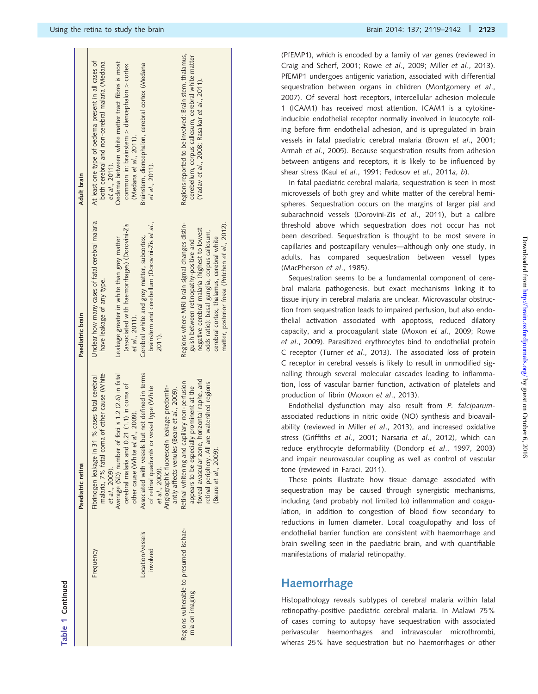|                                                          | Paediatric retina                                                                                                                                                                                                                                         | Paediatric brain                                                                                                                                                                                                                                                                         | Adult brain                                                                                                                                                                                                                                               |
|----------------------------------------------------------|-----------------------------------------------------------------------------------------------------------------------------------------------------------------------------------------------------------------------------------------------------------|------------------------------------------------------------------------------------------------------------------------------------------------------------------------------------------------------------------------------------------------------------------------------------------|-----------------------------------------------------------------------------------------------------------------------------------------------------------------------------------------------------------------------------------------------------------|
| Frequency                                                | malaria, 7% fatal coma of other cause (White<br>Average (SD) number of foci is 1.2 (2.6) in fatal<br>Fibrinogen leakage in 31 % cases fatal cerebral<br>cerebral malaria and 0.21 (1.1) in coma of<br>other cause (White et al., 2009).<br>et al., 2009). | Unclear how many cases of fatal cerebral malaria<br>(associated with haemorrhages) (Dorovini-Zis<br>Leakage greater in white than grey matter<br>have leakage of any type.<br>et al., 2011).                                                                                             | At least one type of oedema present in all cases of<br>Oedema between white matter tract fibres is most<br>both cerebral and non-cerebral malaria (Medana<br>common in: brainstem $>$ diencephalon $>$ cortex<br>(Medana et al., 2011).<br>et al., 2011). |
| .ocation/vessels<br>involved                             | Associated with vessels but not defined in terms<br>Angiographic fluorescein leakage predomin-<br>of retinal quadrants or vessel type (White<br>intly affects venules (Beare et al., 2009).<br>et al., 2009).                                             | brainstem and cerebellum (Dorovini-Zis et al.,<br>Cerebral white and grey matter, subcortex,<br>2011).                                                                                                                                                                                   | Brainstem, diencephalon, cerebral cortex (Medana<br>et al., 2011).                                                                                                                                                                                        |
| Regions vulnerable to presumed ischae-<br>mia on imaging | foveal avascular zone, horizontal raphe, and<br>Retinal whitening and capillary non-perfusion<br>retinal periphery. All are watershed regions<br>appears to be especially prominent at the<br>(Beare et al., 2009).                                       | Regions where MRI brain signal changes distin-<br>matter, posterior fossa (Potchen et al., 2012).<br>negative cerebral malaria (highest to lowest<br>odds ratio): basal ganglia, corpus callosum,<br>cerebral cortex, thalamus, cerebral white<br>guish between retinopathy-positive and | Regions reported to be involved: Brain stem, thalamus,<br>cerebellum, corpus callosum, cerebral white matter<br>(Yadav et al., 2008; Rasalkar et al., 2011).                                                                                              |

(PfEMP1), which is encoded by a family of var genes (reviewed in [Craig and Scherf, 2001](#page-19-0); Rowe et al[., 2009;](#page-22-0) Miller et al[., 2013](#page-21-0)). PfEMP1 undergoes antigenic variation, associated with differential sequestration between organs in children ([Montgomery](#page-21-0) et al., [2007](#page-21-0)). Of several host receptors, intercellular adhesion molecule 1 (ICAM1) has received most attention. ICAM1 is a cytokineinducible endothelial receptor normally involved in leucocyte rolling before firm endothelial adhesion, and is upregulated in brain vessels in fatal paediatric cerebral malaria (Brown et al[., 2001](#page-19-0); Armah et al[., 2005](#page-19-0)). Because sequestration results from adhesion between antigens and receptors, it is likely to be influenced by shear stress (Kaul et al[., 1991](#page-20-0); [Fedosov](#page-19-0) et al., 2011a, [b](#page-19-0)).

In fatal paediatric cerebral malaria, sequestration is seen in most microvessels of both grey and white matter of the cerebral hemispheres. Sequestration occurs on the margins of larger pial and subarachnoid vessels ([Dorovini-Zis](#page-19-0) et al., 2011), but a calibre threshold above which sequestration does not occur has not been described. Sequestration is thought to be most severe in capillaries and postcapillary venules—although only one study, in adults, has compared sequestration between vessel types [\(MacPherson](#page-20-0) et al., 1985).

Sequestration seems to be a fundamental component of cerebral malaria pathogenesis, but exact mechanisms linking it to tissue injury in cerebral malaria are unclear. Microvascular obstruction from sequestration leads to impaired perfusion, but also endothelial activation associated with apoptosis, reduced dilatory capacity, and a procoagulant state (Moxon et al[., 2009;](#page-21-0) [Rowe](#page-22-0) et al[., 2009](#page-22-0)). Parasitized erythrocytes bind to endothelial protein C receptor (Turner et al[., 2013](#page-22-0)). The associated loss of protein C receptor in cerebral vessels is likely to result in unmodified signalling through several molecular cascades leading to inflammation, loss of vascular barrier function, activation of platelets and production of fibrin (Moxon et al[., 2013\)](#page-21-0).

Endothelial dysfunction may also result from P. falciparumassociated reductions in nitric oxide (NO) synthesis and bioavailability (reviewed in Miller et al[., 2013\)](#page-21-0), and increased oxidative stress ([Griffiths](#page-20-0) et al., 2001; Narsaria et al., 2012), which can reduce erythrocyte deformability ([Dondorp](#page-19-0) et al., 1997, [2003\)](#page-19-0) and impair neurovascular coupling as well as control of vascular tone (reviewed in [Faraci, 2011\)](#page-19-0).

These points illustrate how tissue damage associated with sequestration may be caused through synergistic mechanisms, including (and probably not limited to) inflammation and coagulation, in addition to congestion of blood flow secondary to reductions in lumen diameter. Local coagulopathy and loss of endothelial barrier function are consistent with haemorrhage and brain swelling seen in the paediatric brain, and with quantifiable manifestations of malarial retinopathy.

### Haemorrhage

Histopathology reveals subtypes of cerebral malaria within fatal retinopathy-positive paediatric cerebral malaria. In Malawi 75% of cases coming to autopsy have sequestration with associated perivascular haemorrhages and intravascular microthrombi, wheras 25% have sequestration but no haemorrhages or other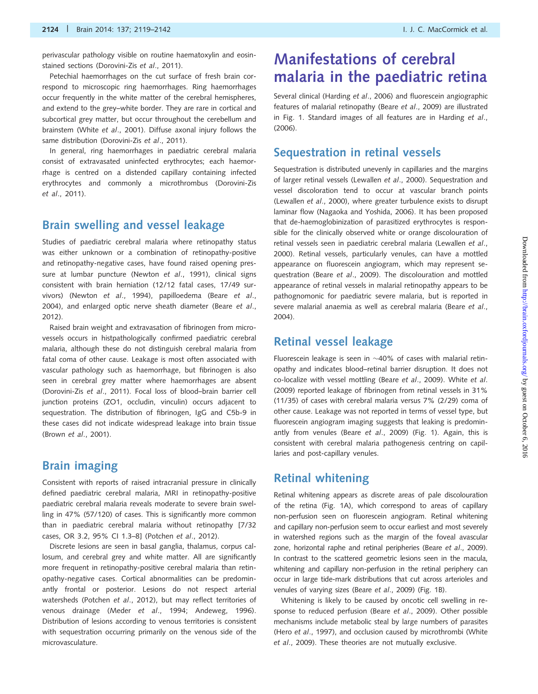perivascular pathology visible on routine haematoxylin and eosinstained sections [\(Dorovini-Zis](#page-19-0) et al., 2011).

Petechial haemorrhages on the cut surface of fresh brain correspond to microscopic ring haemorrhages. Ring haemorrhages occur frequently in the white matter of the cerebral hemispheres, and extend to the grey–white border. They are rare in cortical and subcortical grey matter, but occur throughout the cerebellum and brainstem (White et al[., 2001\)](#page-22-0). Diffuse axonal injury follows the same distribution [\(Dorovini-Zis](#page-19-0) et al., 2011).

In general, ring haemorrhages in paediatric cerebral malaria consist of extravasated uninfected erythrocytes; each haemorrhage is centred on a distended capillary containing infected erythrocytes and commonly a microthrombus [\(Dorovini-Zis](#page-19-0) et al[., 2011\)](#page-19-0).

#### Brain swelling and vessel leakage

Studies of paediatric cerebral malaria where retinopathy status was either unknown or a combination of retinopathy-positive and retinopathy-negative cases, have found raised opening pres-sure at lumbar puncture [\(Newton](#page-21-0) et al., 1991), clinical signs consistent with brain herniation (12/12 fatal cases, 17/49 survivors) (Newton et al[., 1994](#page-21-0)), papilloedema (Beare [et al](#page-19-0)., [2004\)](#page-19-0), and enlarged optic nerve sheath diameter ([Beare](#page-19-0) et al., [2012\)](#page-19-0).

Raised brain weight and extravasation of fibrinogen from microvessels occurs in histpathologically confirmed paediatric cerebral malaria, although these do not distinguish cerebral malaria from fatal coma of other cause. Leakage is most often associated with vascular pathology such as haemorrhage, but fibrinogen is also seen in cerebral grey matter where haemorrhages are absent [\(Dorovini-Zis](#page-19-0) et al., 2011). Focal loss of blood–brain barrier cell junction proteins (ZO1, occludin, vinculin) occurs adjacent to sequestration. The distribution of fibrinogen, IgG and C5b-9 in these cases did not indicate widespread leakage into brain tissue (Brown et al[., 2001\)](#page-19-0).

#### Brain imaging

Consistent with reports of raised intracranial pressure in clinically defined paediatric cerebral malaria, MRI in retinopathy-positive paediatric cerebral malaria reveals moderate to severe brain swelling in 47% (57/120) of cases. This is significantly more common than in paediatric cerebral malaria without retinopathy [7/32 cases, OR 3.2, 95% CI 1.3–8] [\(Potchen](#page-21-0) et al., 2012).

Discrete lesions are seen in basal ganglia, thalamus, corpus callosum, and cerebral grey and white matter. All are significantly more frequent in retinopathy-positive cerebral malaria than retinopathy-negative cases. Cortical abnormalities can be predominantly frontal or posterior. Lesions do not respect arterial watersheds ([Potchen](#page-21-0) et al., 2012), but may reflect territories of venous drainage (Meder et al[., 1994;](#page-21-0) [Andeweg, 1996\)](#page-19-0). Distribution of lesions according to venous territories is consistent with sequestration occurring primarily on the venous side of the microvasculature.

# Manifestations of cerebral malaria in the paediatric retina

Several clinical [\(Harding](#page-20-0) et al., 2006) and fluorescein angiographic features of malarial retinopathy (Beare et al[., 2009\)](#page-19-0) are illustrated in [Fig. 1.](#page-6-0) Standard images of all features are in [Harding](#page-20-0) et al., [\(2006\)](#page-20-0).

#### Sequestration in retinal vessels

Sequestration is distributed unevenly in capillaries and the margins of larger retinal vessels ([Lewallen](#page-20-0) et al., 2000). Sequestration and vessel discoloration tend to occur at vascular branch points ([Lewallen](#page-20-0) et al., 2000), where greater turbulence exists to disrupt laminar flow ([Nagaoka and Yoshida, 2006](#page-21-0)). It has been proposed that de-haemoglobinization of parasitized erythrocytes is responsible for the clinically observed white or orange discolouration of retinal vessels seen in paediatric cerebral malaria ([Lewallen](#page-20-0) et al., [2000\)](#page-20-0). Retinal vessels, particularly venules, can have a mottled appearance on fluorescein angiogram, which may represent sequestration (Beare et al[., 2009\)](#page-19-0). The discolouration and mottled appearance of retinal vessels in malarial retinopathy appears to be pathognomonic for paediatric severe malaria, but is reported in severe malarial anaemia as well as cerebral malaria [\(Beare](#page-19-0) et al., [2004\)](#page-19-0).

### Retinal vessel leakage

Fluorescein leakage is seen in  $\sim$  40% of cases with malarial retinopathy and indicates blood–retinal barrier disruption. It does not co-localize with vessel mottling (Beare et al[., 2009](#page-19-0)). [White](#page-22-0) et al. [\(2009\)](#page-22-0) reported leakage of fibrinogen from retinal vessels in 31% (11/35) of cases with cerebral malaria versus 7% (2/29) coma of other cause. Leakage was not reported in terms of vessel type, but fluorescein angiogram imaging suggests that leaking is predominantly from venules (Beare et al[., 2009\)](#page-19-0) [\(Fig. 1\)](#page-6-0). Again, this is consistent with cerebral malaria pathogenesis centring on capillaries and post-capillary venules.

#### Retinal whitening

Retinal whitening appears as discrete areas of pale discolouration of the retina [\(Fig. 1A](#page-6-0)), which correspond to areas of capillary non-perfusion seen on fluorescein angiogram. Retinal whitening and capillary non-perfusion seem to occur earliest and most severely in watershed regions such as the margin of the foveal avascular zone, horizontal raphe and retinal peripheries (Beare et al[., 2009\)](#page-19-0). In contrast to the scattered geometric lesions seen in the macula, whitening and capillary non-perfusion in the retinal periphery can occur in large tide-mark distributions that cut across arterioles and venules of varying sizes (Beare et al[., 2009](#page-19-0)) ([Fig. 1B](#page-6-0)).

Whitening is likely to be caused by oncotic cell swelling in response to reduced perfusion (Beare et al[., 2009](#page-19-0)). Other possible mechanisms include metabolic steal by large numbers of parasites (Hero et al[., 1997\)](#page-20-0), and occlusion caused by microthrombi ([White](#page-22-0) et al[., 2009\)](#page-22-0). These theories are not mutually exclusive.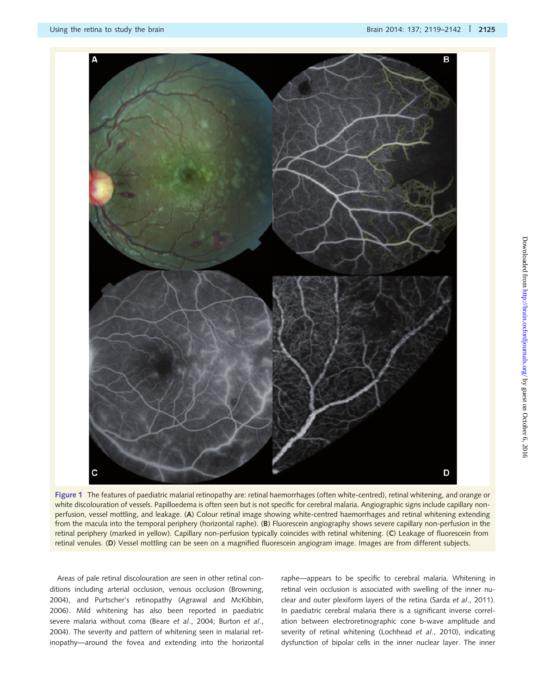<span id="page-6-0"></span>

Figure 1 The features of paediatric malarial retinopathy are: retinal haemorrhages (often white-centred), retinal whitening, and orange or white discolouration of vessels. Papilloedema is often seen but is not specific for cerebral malaria. Angiographic signs include capillary nonperfusion, vessel mottling, and leakage. (A) Colour retinal image showing white-centred haemorrhages and retinal whitening extending from the macula into the temporal periphery (horizontal raphe). (B) Fluorescein angiography shows severe capillary non-perfusion in the retinal periphery (marked in yellow). Capillary non-perfusion typically coincides with retinal whitening. (C) Leakage of fluorescein from retinal venules. (D) Vessel mottling can be seen on a magnified fluorescein angiogram image. Images are from different subjects.

Areas of pale retinal discolouration are seen in other retinal conditions including arterial occlusion, venous occlusion ([Browning,](#page-19-0) [2004](#page-19-0)), and Purtscher's retinopathy ([Agrawal and McKibbin,](#page-18-0) [2006](#page-18-0)). Mild whitening has also been reported in paediatric severe malaria without coma (Beare et al[., 2004](#page-19-0); [Burton](#page-19-0) et al., [2004](#page-19-0)). The severity and pattern of whitening seen in malarial retinopathy—around the fovea and extending into the horizontal raphe—appears to be specific to cerebral malaria. Whitening in retinal vein occlusion is associated with swelling of the inner nu-clear and outer plexiform layers of the retina (Sarda et al[., 2011](#page-22-0)). In paediatric cerebral malaria there is a significant inverse correlation between electroretinographic cone b-wave amplitude and severity of retinal whitening [\(Lochhead](#page-20-0) et al., 2010), indicating dysfunction of bipolar cells in the inner nuclear layer. The inner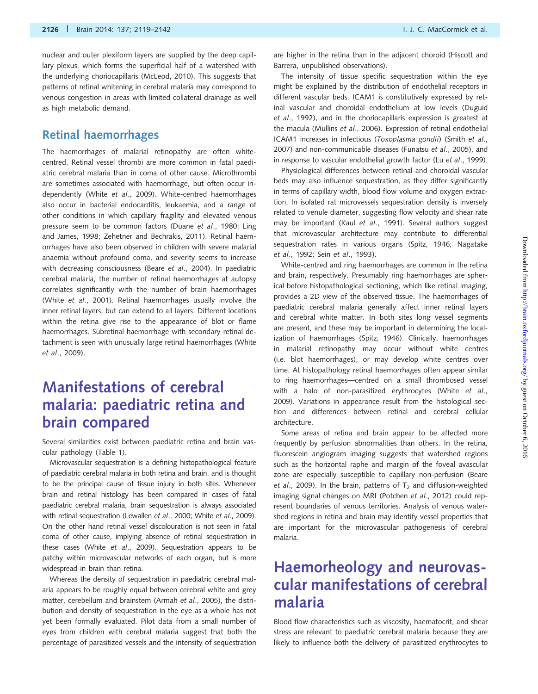nuclear and outer plexiform layers are supplied by the deep capillary plexus, which forms the superficial half of a watershed with the underlying choriocapillaris ([McLeod, 2010](#page-21-0)). This suggests that patterns of retinal whitening in cerebral malaria may correspond to venous congestion in areas with limited collateral drainage as well as high metabolic demand.

#### Retinal haemorrhages

The haemorrhages of malarial retinopathy are often whitecentred. Retinal vessel thrombi are more common in fatal paediatric cerebral malaria than in coma of other cause. Microthrombi are sometimes associated with haemorrhage, but often occur independently (White et al[., 2009\)](#page-22-0). White-centred haemorrhages also occur in bacterial endocarditis, leukaemia, and a range of other conditions in which capillary fragility and elevated venous pressure seem to be common factors (Duane et al[., 1980](#page-19-0); [Ling](#page-20-0) [and James, 1998](#page-20-0); [Zehetner and Bechrakis, 2011\)](#page-23-0). Retinal haemorrhages have also been observed in children with severe malarial anaemia without profound coma, and severity seems to increase with decreasing consciousness (Beare et al[., 2004\)](#page-19-0). In paediatric cerebral malaria, the number of retinal haemorrhages at autopsy correlates significantly with the number of brain haemorrhages (White et al[., 2001](#page-22-0)). Retinal haemorrhages usually involve the inner retinal layers, but can extend to all layers. Different locations within the retina give rise to the appearance of blot or flame haemorrhages. Subretinal haemorrhage with secondary retinal detachment is seen with unusually large retinal haemorrhages [\(White](#page-22-0) et al[., 2009](#page-22-0)).

# Manifestations of cerebral malaria: paediatric retina and brain compared

Several similarities exist between paediatric retina and brain vascular pathology ([Table 1](#page-3-0)).

Microvascular sequestration is a defining histopathological feature of paediatric cerebral malaria in both retina and brain, and is thought to be the principal cause of tissue injury in both sites. Whenever brain and retinal histology has been compared in cases of fatal paediatric cerebral malaria, brain sequestration is always associated with retinal sequestration [\(Lewallen](#page-20-0) et al., 2000; White et al[., 2009](#page-22-0)). On the other hand retinal vessel discolouration is not seen in fatal coma of other cause, implying absence of retinal sequestration in these cases (White et al[., 2009\)](#page-22-0). Sequestration appears to be patchy within microvascular networks of each organ, but is more widespread in brain than retina.

Whereas the density of sequestration in paediatric cerebral malaria appears to be roughly equal between cerebral white and grey matter, cerebellum and brainstem (Armah et al[., 2005\)](#page-19-0), the distribution and density of sequestration in the eye as a whole has not yet been formally evaluated. Pilot data from a small number of eyes from children with cerebral malaria suggest that both the percentage of parasitized vessels and the intensity of sequestration

are higher in the retina than in the adjacent choroid (Hiscott and Barrera, unpublished observations).

The intensity of tissue specific sequestration within the eye might be explained by the distribution of endothelial receptors in different vascular beds. ICAM1 is constitutively expressed by retinal vascular and choroidal endothelium at low levels [\(Duguid](#page-19-0) et al[., 1992\)](#page-19-0), and in the choriocapillaris expression is greatest at the macula (Mullins et al[., 2006\)](#page-21-0). Expression of retinal endothelial ICAM1 increases in infectious (Toxoplasma gondii) ([Smith](#page-22-0) et al., [2007\)](#page-22-0) and non-communicable diseases [\(Funatsu](#page-19-0) et al., 2005), and in response to vascular endothelial growth factor (Lu et al[., 1999\)](#page-20-0).

Physiological differences between retinal and choroidal vascular beds may also influence sequestration, as they differ significantly in terms of capillary width, blood flow volume and oxygen extraction. In isolated rat microvessels sequestration density is inversely related to venule diameter, suggesting flow velocity and shear rate may be important (Kaul et al[., 1991](#page-20-0)). Several authors suggest that microvascular architecture may contribute to differential sequestration rates in various organs [\(Spitz, 1946;](#page-22-0) [Nagatake](#page-21-0) et al[., 1992;](#page-21-0) Sein et al[., 1993](#page-22-0)).

White-centred and ring haemorrhages are common in the retina and brain, respectively. Presumably ring haemorrhages are spherical before histopathological sectioning, which like retinal imaging, provides a 2D view of the observed tissue. The haemorrhages of paediatric cerebral malaria generally affect inner retinal layers and cerebral white matter. In both sites long vessel segments are present, and these may be important in determining the localization of haemorrhages [\(Spitz, 1946](#page-22-0)). Clinically, haemorrhages in malarial retinopathy may occur without white centres (i.e. blot haemorrhages), or may develop white centres over time. At histopathology retinal haemorrhages often appear similar to ring haemorrhages—centred on a small thrombosed vessel with a halo of non-parasitized erythrocytes [\(White](#page-22-0) et al., [2009\)](#page-22-0). Variations in appearance result from the histological section and differences between retinal and cerebral cellular architecture.

Some areas of retina and brain appear to be affected more frequently by perfusion abnormalities than others. In the retina, fluorescein angiogram imaging suggests that watershed regions such as the horizontal raphe and margin of the foveal avascular zone are especially susceptible to capillary non-perfusion ([Beare](#page-19-0) et al[., 2009](#page-19-0)). In the brain, patterns of  $T_2$  and diffusion-weighted imaging signal changes on MRI [\(Potchen](#page-21-0) et al., 2012) could represent boundaries of venous territories. Analysis of venous watershed regions in retina and brain may identify vessel properties that are important for the microvascular pathogenesis of cerebral malaria.

# Haemorheology and neurovascular manifestations of cerebral malaria

Blood flow characteristics such as viscosity, haematocrit, and shear stress are relevant to paediatric cerebral malaria because they are likely to influence both the delivery of parasitized erythrocytes to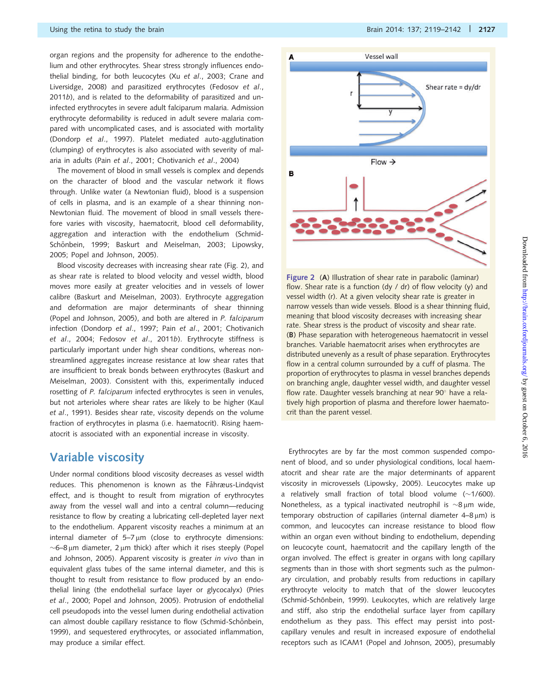<span id="page-8-0"></span>organ regions and the propensity for adherence to the endothelium and other erythrocytes. Shear stress strongly influences endothelial binding, for both leucocytes (Xu et al[., 2003;](#page-23-0) [Crane and](#page-19-0) [Liversidge, 2008\)](#page-19-0) and parasitized erythrocytes ([Fedosov](#page-19-0) et al., [2011](#page-19-0)b), and is related to the deformability of parasitized and uninfected erythrocytes in severe adult falciparum malaria. Admission erythrocyte deformability is reduced in adult severe malaria compared with uncomplicated cases, and is associated with mortality ([Dondorp](#page-19-0) et al., 1997). Platelet mediated auto-agglutination (clumping) of erythrocytes is also associated with severity of malaria in adults (Pain et al[., 2001;](#page-21-0) [Chotivanich](#page-19-0) et al., 2004)

The movement of blood in small vessels is complex and depends on the character of blood and the vascular network it flows through. Unlike water (a Newtonian fluid), blood is a suspension of cells in plasma, and is an example of a shear thinning non-Newtonian fluid. The movement of blood in small vessels therefore varies with viscosity, haematocrit, blood cell deformability, aggregation and interaction with the endothelium [\(Schmid](#page-22-0)Schö[nbein, 1999;](#page-22-0) [Baskurt and Meiselman, 2003;](#page-19-0) [Lipowsky,](#page-20-0) [2005](#page-20-0); [Popel and Johnson, 2005\)](#page-21-0).

Blood viscosity decreases with increasing shear rate (Fig. 2), and as shear rate is related to blood velocity and vessel width, blood moves more easily at greater velocities and in vessels of lower calibre [\(Baskurt and Meiselman, 2003\)](#page-19-0). Erythrocyte aggregation and deformation are major determinants of shear thinning ([Popel and Johnson, 2005](#page-21-0)), and both are altered in P. falciparum infection [\(Dondorp](#page-19-0) et al., 1997; Pain et al[., 2001;](#page-21-0) [Chotivanich](#page-19-0) et al[., 2004](#page-19-0); [Fedosov](#page-19-0) et al., 2011b). Erythrocyte stiffness is particularly important under high shear conditions, whereas nonstreamlined aggregates increase resistance at low shear rates that are insufficient to break bonds between erythrocytes [\(Baskurt and](#page-19-0) [Meiselman, 2003\)](#page-19-0). Consistent with this, experimentally induced rosetting of P. falciparum infected erythrocytes is seen in venules, but not arterioles where shear rates are likely to be higher ([Kaul](#page-20-0) et al[., 1991](#page-20-0)). Besides shear rate, viscosity depends on the volume fraction of erythrocytes in plasma (i.e. haematocrit). Rising haematocrit is associated with an exponential increase in viscosity.

#### Variable viscosity

Under normal conditions blood viscosity decreases as vessel width reduces. This phenomenon is known as the Fåhræus-Lindqvist effect, and is thought to result from migration of erythrocytes away from the vessel wall and into a central column—reducing resistance to flow by creating a lubricating cell-depleted layer next to the endothelium. Apparent viscosity reaches a minimum at an internal diameter of  $5-7 \mu m$  (close to erythrocyte dimensions:  $\sim$ 6–8 µm diameter, 2 µm thick) after which it rises steeply ([Popel](#page-21-0) [and Johnson, 2005\)](#page-21-0). Apparent viscosity is greater in vivo than in equivalent glass tubes of the same internal diameter, and this is thought to result from resistance to flow produced by an endothelial lining (the endothelial surface layer or glycocalyx) ([Pries](#page-21-0) et al[., 2000; Popel and Johnson, 2005\)](#page-21-0). Protrusion of endothelial cell pseudopods into the vessel lumen during endothelial activation can almost double capillary resistance to flow (Schmid-Schönbein, [1999](#page-22-0)), and sequestered erythrocytes, or associated inflammation, may produce a similar effect.



Figure 2 (A) Illustration of shear rate in parabolic (laminar) flow. Shear rate is a function (dy / dr) of flow velocity (y) and vessel width (r). At a given velocity shear rate is greater in narrow vessels than wide vessels. Blood is a shear thinning fluid, meaning that blood viscosity decreases with increasing shear rate. Shear stress is the product of viscosity and shear rate. (B) Phase separation with heterogeneous haematocrit in vessel branches. Variable haematocrit arises when erythrocytes are distributed unevenly as a result of phase separation. Erythrocytes flow in a central column surrounded by a cuff of plasma. The proportion of erythrocytes to plasma in vessel branches depends on branching angle, daughter vessel width, and daughter vessel flow rate. Daughter vessels branching at near 90 $^{\circ}$  have a relatively high proportion of plasma and therefore lower haematocrit than the parent vessel.

Erythrocytes are by far the most common suspended component of blood, and so under physiological conditions, local haematocrit and shear rate are the major determinants of apparent viscosity in microvessels ([Lipowsky, 2005\)](#page-20-0). Leucocytes make up a relatively small fraction of total blood volume  $(\sim1/600)$ . Nonetheless, as a typical inactivated neutrophil is  $\sim$ 8 µm wide, temporary obstruction of capillaries (internal diameter  $4-8 \mu m$ ) is common, and leucocytes can increase resistance to blood flow within an organ even without binding to endothelium, depending on leucocyte count, haematocrit and the capillary length of the organ involved. The effect is greater in organs with long capillary segments than in those with short segments such as the pulmonary circulation, and probably results from reductions in capillary erythrocyte velocity to match that of the slower leucocytes (Schmid-Schönbein, 1999). Leukocytes, which are relatively large and stiff, also strip the endothelial surface layer from capillary endothelium as they pass. This effect may persist into postcapillary venules and result in increased exposure of endothelial receptors such as ICAM1 [\(Popel and Johnson, 2005](#page-21-0)), presumably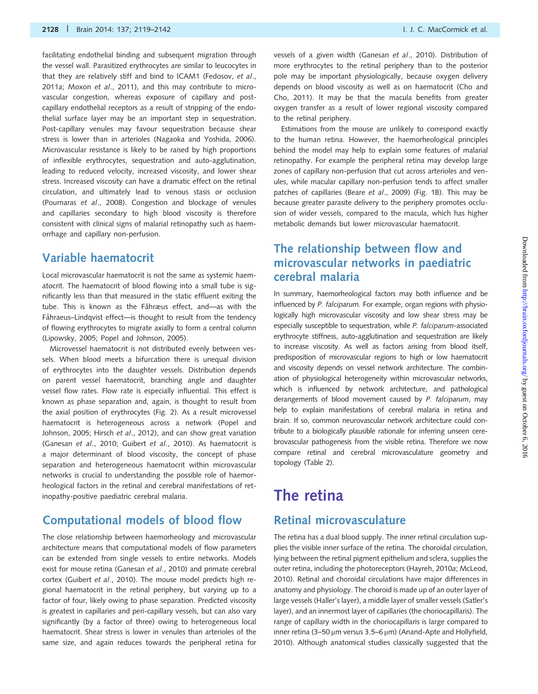facilitating endothelial binding and subsequent migration through the vessel wall. Parasitized erythrocytes are similar to leucocytes in that they are relatively stiff and bind to ICAM1 [\(Fedosov,](#page-19-0) et al., [2011](#page-19-0)a; Moxon et al[., 2011](#page-21-0)), and this may contribute to microvascular congestion, whereas exposure of capillary and postcapillary endothelial receptors as a result of stripping of the endothelial surface layer may be an important step in sequestration. Post-capillary venules may favour sequestration because shear stress is lower than in arterioles [\(Nagaoka and Yoshida, 2006\)](#page-21-0). Microvascular resistance is likely to be raised by high proportions of inflexible erythrocytes, sequestration and auto-agglutination, leading to reduced velocity, increased viscosity, and lower shear stress. Increased viscosity can have a dramatic effect on the retinal circulation, and ultimately lead to venous stasis or occlusion [\(Pournaras](#page-21-0) et al., 2008). Congestion and blockage of venules and capillaries secondary to high blood viscosity is therefore consistent with clinical signs of malarial retinopathy such as haemorrhage and capillary non-perfusion.

#### Variable haematocrit

Local microvascular haematocrit is not the same as systemic haematocrit. The haematocrit of blood flowing into a small tube is significantly less than that measured in the static effluent exiting the tube. This is known as the Fåhræus effect, and-as with the Fåhraeus–Lindqvist effect—is thought to result from the tendency of flowing erythrocytes to migrate axially to form a central column [\(Lipowsky, 2005](#page-20-0); [Popel and Johnson, 2005](#page-21-0)).

Microvessel haematocrit is not distributed evenly between vessels. When blood meets a bifurcation there is unequal division of erythrocytes into the daughter vessels. Distribution depends on parent vessel haematocrit, branching angle and daughter vessel flow rates. Flow rate is especially influential. This effect is known as phase separation and, again, is thought to result from the axial position of erythrocytes [\(Fig. 2\)](#page-8-0). As a result microvessel haematocrit is heterogeneous across a network [\(Popel and](#page-21-0) [Johnson, 2005;](#page-21-0) Hirsch et al[., 2012\)](#page-20-0), and can show great variation [\(Ganesan](#page-19-0) et al., 2010; Guibert et al[., 2010\)](#page-20-0). As haematocrit is a major determinant of blood viscosity, the concept of phase separation and heterogeneous haematocrit within microvascular networks is crucial to understanding the possible role of haemorheological factors in the retinal and cerebral manifestations of retinopathy-positive paediatric cerebral malaria.

#### Computational models of blood flow

The close relationship between haemorheology and microvascular architecture means that computational models of flow parameters can be extended from single vessels to entire networks. Models exist for mouse retina ([Ganesan](#page-19-0) et al., 2010) and primate cerebral cortex [\(Guibert](#page-20-0) et al., 2010). The mouse model predicts high regional haematocrit in the retinal periphery, but varying up to a factor of four, likely owing to phase separation. Predicted viscosity is greatest in capillaries and peri-capillary vessels, but can also vary significantly (by a factor of three) owing to heterogeneous local haematocrit. Shear stress is lower in venules than arterioles of the same size, and again reduces towards the peripheral retina for

vessels of a given width ([Ganesan](#page-19-0) et al., 2010). Distribution of more erythrocytes to the retinal periphery than to the posterior pole may be important physiologically, because oxygen delivery depends on blood viscosity as well as on haematocrit [\(Cho and](#page-19-0) [Cho, 2011](#page-19-0)). It may be that the macula benefits from greater oxygen transfer as a result of lower regional viscosity compared to the retinal periphery.

Estimations from the mouse are unlikely to correspond exactly to the human retina. However, the haemorheological principles behind the model may help to explain some features of malarial retinopathy. For example the peripheral retina may develop large zones of capillary non-perfusion that cut across arterioles and venules, while macular capillary non-perfusion tends to affect smaller patches of capillaries (Beare et al[., 2009\)](#page-19-0) [\(Fig. 1B](#page-6-0)). This may be because greater parasite delivery to the periphery promotes occlusion of wider vessels, compared to the macula, which has higher metabolic demands but lower microvascular haematocrit.

### The relationship between flow and microvascular networks in paediatric cerebral malaria

In summary, haemorheological factors may both influence and be influenced by P. falciparum. For example, organ regions with physiologically high microvascular viscosity and low shear stress may be especially susceptible to sequestration, while P. falciparum-associated erythrocyte stiffness, auto-agglutination and sequestration are likely to increase viscosity. As well as factors arising from blood itself, predisposition of microvascular regions to high or low haematocrit and viscosity depends on vessel network architecture. The combination of physiological heterogeneity within microvascular networks, which is influenced by network architecture, and pathological derangements of blood movement caused by P. falciparum, may help to explain manifestations of cerebral malaria in retina and brain. If so, common neurovascular network architecture could contribute to a biologically plausible rationale for inferring unseen cerebrovascular pathogenesis from the visible retina. Therefore we now compare retinal and cerebral microvasculature geometry and topology [\(Table 2](#page-10-0)).

# The retina

### Retinal microvasculature

The retina has a dual blood supply. The inner retinal circulation supplies the visible inner surface of the retina. The choroidal circulation, lying between the retinal pigment epithelium and sclera, supplies the outer retina, including the photoreceptors [\(Hayreh, 2010](#page-20-0)a; [McLeod,](#page-21-0) [2010\)](#page-21-0). Retinal and choroidal circulations have major differences in anatomy and physiology. The choroid is made up of an outer layer of large vessels (Haller's layer), a middle layer of smaller vessels (Satler's layer), and an innermost layer of capillaries (the choriocapillaris). The range of capillary width in the choriocapillaris is large compared to inner retina (3-50  $\mu$ m versus 3.5–6  $\mu$ m) [\(Anand-Apte and Hollyfield,](#page-18-0) [2010\)](#page-18-0). Although anatomical studies classically suggested that the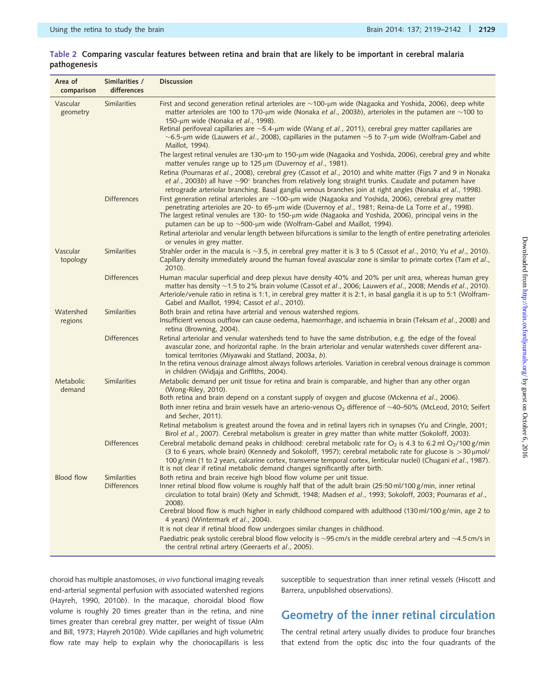| Area of<br>comparison | Similarities /<br>differences             | <b>Discussion</b>                                                                                                                                                                                                                                                                                                                                                                                                                                                                                                                                                                                                                                                                                                                                                                                                        |
|-----------------------|-------------------------------------------|--------------------------------------------------------------------------------------------------------------------------------------------------------------------------------------------------------------------------------------------------------------------------------------------------------------------------------------------------------------------------------------------------------------------------------------------------------------------------------------------------------------------------------------------------------------------------------------------------------------------------------------------------------------------------------------------------------------------------------------------------------------------------------------------------------------------------|
| Vascular<br>geometry  | <b>Similarities</b>                       | First and second generation retinal arterioles are $\sim$ 100-µm wide (Nagaoka and Yoshida, 2006), deep white<br>matter arterioles are 100 to 170-µm wide (Nonaka et al., 2003b), arterioles in the putamen are $\sim$ 100 to<br>150-μm wide (Nonaka et al., 1998).<br>Retinal perifoveal capillaries are $\sim$ 5.4-µm wide (Wang et al., 2011), cerebral grey matter capillaries are<br>$\sim$ 6.5-µm wide (Lauwers et al., 2008), capillaries in the putamen $\sim$ 5 to 7-µm wide (Wolfram-Gabel and<br>Maillot, 1994).<br>The largest retinal venules are 130-µm to 150-µm wide (Nagaoka and Yoshida, 2006), cerebral grey and white<br>matter venules range up to 125 µm (Duvernoy et al., 1981).<br>Retina (Pournaras et al., 2008), cerebral grey (Cassot et al., 2010) and white matter (Figs 7 and 9 in Nonaka |
|                       |                                           | et al., 2003b) all have $\sim$ 90 $^{\circ}$ branches from relatively long straight trunks. Caudate and putamen have<br>retrograde arteriolar branching. Basal ganglia venous branches join at right angles (Nonaka et al., 1998).                                                                                                                                                                                                                                                                                                                                                                                                                                                                                                                                                                                       |
|                       | <b>Differences</b>                        | First generation retinal arterioles are ~100-µm wide (Nagaoka and Yoshida, 2006), cerebral grey matter<br>penetrating arterioles are 20- to 65-µm wide (Duvernoy et al., 1981; Reina-de La Torre et al., 1998).<br>The largest retinal venules are 130- to 150-µm wide (Nagaoka and Yoshida, 2006), principal veins in the<br>putamen can be up to $\sim$ 500-µm wide (Wolfram-Gabel and Maillot, 1994).                                                                                                                                                                                                                                                                                                                                                                                                                 |
|                       |                                           | Retinal arteriolar and venular length between bifurcations is similar to the length of entire penetrating arterioles<br>or venules in grey matter.                                                                                                                                                                                                                                                                                                                                                                                                                                                                                                                                                                                                                                                                       |
| Vascular<br>topology  | <b>Similarities</b>                       | Strahler order in the macula is ~3.5, in cerebral grey matter it is 3 to 5 (Cassot et al., 2010; Yu et al., 2010).<br>Capillary density immediately around the human foveal avascular zone is similar to primate cortex (Tam et al.,<br>$2010$ ).                                                                                                                                                                                                                                                                                                                                                                                                                                                                                                                                                                        |
|                       | <b>Differences</b>                        | Human macular superficial and deep plexus have density 40% and 20% per unit area, whereas human grey<br>matter has density ~1.5 to 2% brain volume (Cassot et al., 2006; Lauwers et al., 2008; Mendis et al., 2010).<br>Arteriole/venule ratio in retina is 1:1, in cerebral grey matter it is 2:1, in basal ganglia it is up to 5:1 (Wolfram-<br>Gabel and Maillot, 1994; Cassot et al., 2010).                                                                                                                                                                                                                                                                                                                                                                                                                         |
| Watershed<br>regions  | <b>Similarities</b>                       | Both brain and retina have arterial and venous watershed regions.<br>Insufficient venous outflow can cause oedema, haemorrhage, and ischaemia in brain (Teksam et al., 2008) and<br>retina (Browning, 2004).                                                                                                                                                                                                                                                                                                                                                                                                                                                                                                                                                                                                             |
|                       | <b>Differences</b>                        | Retinal arteriolar and venular watersheds tend to have the same distribution, e.g. the edge of the foveal<br>avascular zone, and horizontal raphe. In the brain arteriolar and venular watersheds cover different ana-<br>tomical territories (Miyawaki and Statland, 2003a, b).<br>In the retina venous drainage almost always follows arterioles. Variation in cerebral venous drainage is common<br>in children (Widjaja and Griffiths, 2004).                                                                                                                                                                                                                                                                                                                                                                        |
| Metabolic<br>demand   | Similarities                              | Metabolic demand per unit tissue for retina and brain is comparable, and higher than any other organ<br>(Wong-Riley, 2010).<br>Both retina and brain depend on a constant supply of oxygen and glucose (Mckenna et al., 2006).                                                                                                                                                                                                                                                                                                                                                                                                                                                                                                                                                                                           |
|                       |                                           | Both inner retina and brain vessels have an arterio-venous $O_2$ difference of ~40–50% (McLeod, 2010; Seifert<br>and Secher, 2011).                                                                                                                                                                                                                                                                                                                                                                                                                                                                                                                                                                                                                                                                                      |
|                       |                                           | Retinal metabolism is greatest around the fovea and in retinal layers rich in synapses (Yu and Cringle, 2001;<br>Birol et al., 2007). Cerebral metabolism is greater in grey matter than white matter (Sokoloff, 2003).                                                                                                                                                                                                                                                                                                                                                                                                                                                                                                                                                                                                  |
|                       | <b>Differences</b>                        | Cerebral metabolic demand peaks in childhood: cerebral metabolic rate for $O_2$ is 4.3 to 6.2 ml $O_2/100$ g/min<br>(3 to 6 years, whole brain) (Kennedy and Sokoloff, 1957); cerebral metabolic rate for glucose is $>$ 30 $\mu$ mol/<br>100 g/min (1 to 2 years, calcarine cortex, transverse temporal cortex, lenticular nuclei) (Chugani et al., 1987).<br>It is not clear if retinal metabolic demand changes significantly after birth.                                                                                                                                                                                                                                                                                                                                                                            |
| <b>Blood flow</b>     | <b>Similarities</b><br><b>Differences</b> | Both retina and brain receive high blood flow volume per unit tissue.<br>Inner retinal blood flow volume is roughly half that of the adult brain (25:50 ml/100 g/min, inner retinal<br>circulation to total brain) (Kety and Schmidt, 1948; Madsen et al., 1993; Sokoloff, 2003; Pournaras et al.,<br>2008).<br>Cerebral blood flow is much higher in early childhood compared with adulthood (130 ml/100 g/min, age 2 to                                                                                                                                                                                                                                                                                                                                                                                                |
|                       |                                           | 4 years) (Wintermark et al., 2004).                                                                                                                                                                                                                                                                                                                                                                                                                                                                                                                                                                                                                                                                                                                                                                                      |
|                       |                                           | It is not clear if retinal blood flow undergoes similar changes in childhood.<br>Paediatric peak systolic cerebral blood flow velocity is $\sim$ 95 cm/s in the middle cerebral artery and $\sim$ 4.5 cm/s in<br>the central retinal artery (Geeraerts et al., 2005).                                                                                                                                                                                                                                                                                                                                                                                                                                                                                                                                                    |
|                       |                                           |                                                                                                                                                                                                                                                                                                                                                                                                                                                                                                                                                                                                                                                                                                                                                                                                                          |

#### <span id="page-10-0"></span>Table 2 Comparing vascular features between retina and brain that are likely to be important in cerebral malaria pathogenesis

choroid has multiple anastomoses, in vivo functional imaging reveals end-arterial segmental perfusion with associated watershed regions ([Hayreh, 1990, 2010](#page-20-0)b). In the macaque, choroidal blood flow volume is roughly 20 times greater than in the retina, and nine times greater than cerebral grey matter, per weight of tissue [\(Alm](#page-18-0) [and Bill, 1973](#page-18-0); [Hayreh 2010](#page-20-0)b). Wide capillaries and high volumetric flow rate may help to explain why the choriocapillaris is less susceptible to sequestration than inner retinal vessels (Hiscott and Barrera, unpublished observations).

# Geometry of the inner retinal circulation

The central retinal artery usually divides to produce four branches that extend from the optic disc into the four quadrants of the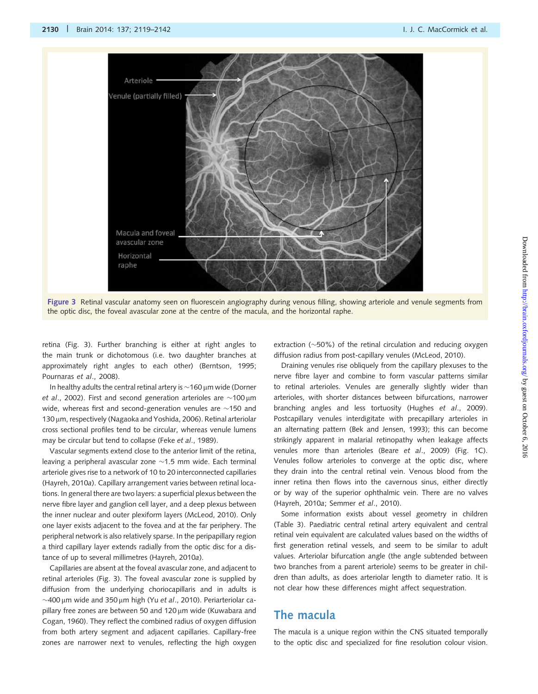<span id="page-11-0"></span>

Figure 3 Retinal vascular anatomy seen on fluorescein angiography during venous filling, showing arteriole and venule segments from the optic disc, the foveal avascular zone at the centre of the macula, and the horizontal raphe.

retina (Fig. 3). Further branching is either at right angles to the main trunk or dichotomous (i.e. two daughter branches at approximately right angles to each other) ([Berntson, 1995;](#page-19-0) [Pournaras](#page-21-0) et al., 2008).

In healthy adults the central retinal artery is  $\sim$  160  $\mu$ m wide ([Dorner](#page-19-0) *et al*[., 2002](#page-19-0)). First and second generation arterioles are  $\sim$ 100 $\,\rm \mu m$ wide, whereas first and second-generation venules are  $\sim$ 150 and 130 µm, respectively [\(Nagaoka and Yoshida, 2006](#page-21-0)). Retinal arteriolar cross sectional profiles tend to be circular, whereas venule lumens may be circular but tend to collapse (Feke et al[., 1989\)](#page-19-0).

Vascular segments extend close to the anterior limit of the retina, leaving a peripheral avascular zone  ${\sim}$ 1.5 mm wide. Each terminal arteriole gives rise to a network of 10 to 20 interconnected capillaries [\(Hayreh, 2010](#page-20-0)a). Capillary arrangement varies between retinal locations. In general there are two layers: a superficial plexus between the nerve fibre layer and ganglion cell layer, and a deep plexus between the inner nuclear and outer plexiform layers [\(McLeod, 2010\)](#page-21-0). Only one layer exists adjacent to the fovea and at the far periphery. The peripheral network is also relatively sparse. In the peripapillary region a third capillary layer extends radially from the optic disc for a distance of up to several millimetres [\(Hayreh, 2010](#page-20-0)a).

Capillaries are absent at the foveal avascular zone, and adjacent to retinal arterioles (Fig. 3). The foveal avascular zone is supplied by diffusion from the underlying choriocapillaris and in adults is  $\sim$ 400  $\upmu$ m wide and 350  $\upmu$ m high (Yu e $t$  al[., 2010\)](#page-23-0). Periarteriolar ca-pillary free zones are between 50 and 120 µm wide [\(Kuwabara and](#page-20-0) [Cogan, 1960](#page-20-0)). They reflect the combined radius of oxygen diffusion from both artery segment and adjacent capillaries. Capillary-free zones are narrower next to venules, reflecting the high oxygen

extraction ( $\sim$ 50%) of the retinal circulation and reducing oxygen diffusion radius from post-capillary venules [\(McLeod, 2010](#page-21-0)).

Draining venules rise obliquely from the capillary plexuses to the nerve fibre layer and combine to form vascular patterns similar to retinal arterioles. Venules are generally slightly wider than arterioles, with shorter distances between bifurcations, narrower branching angles and less tortuosity (Hughes et al[., 2009\)](#page-20-0). Postcapillary venules interdigitate with precapillary arterioles in an alternating pattern [\(Bek and Jensen, 1993\)](#page-19-0); this can become strikingly apparent in malarial retinopathy when leakage affects venules more than arterioles (Beare et al[., 2009\)](#page-19-0) [\(Fig. 1](#page-6-0)C). Venules follow arterioles to converge at the optic disc, where they drain into the central retinal vein. Venous blood from the inner retina then flows into the cavernous sinus, either directly or by way of the superior ophthalmic vein. There are no valves ([Hayreh, 2010](#page-20-0)a; [Semmer](#page-22-0) et al., 2010).

Some information exists about vessel geometry in children ([Table 3](#page-12-0)). Paediatric central retinal artery equivalent and central retinal vein equivalent are calculated values based on the widths of first generation retinal vessels, and seem to be similar to adult values. Arteriolar bifurcation angle (the angle subtended between two branches from a parent arteriole) seems to be greater in children than adults, as does arteriolar length to diameter ratio. It is not clear how these differences might affect sequestration.

#### The macula

The macula is a unique region within the CNS situated temporally to the optic disc and specialized for fine resolution colour vision.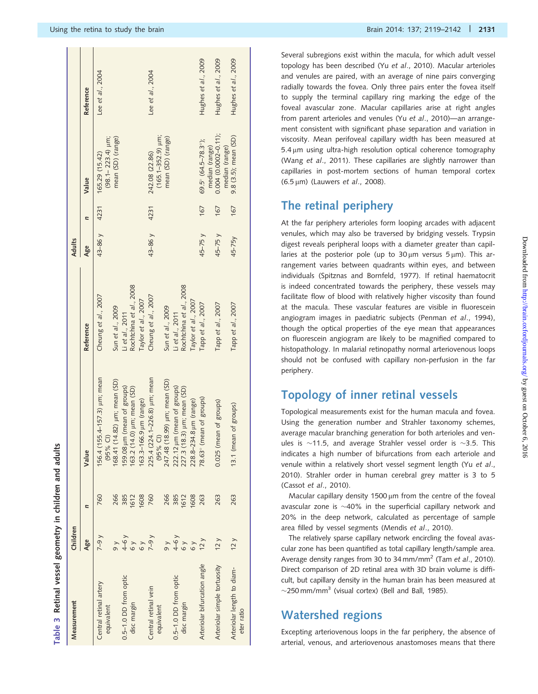| Measurement                              | Children                         |                     |                                                                                         |                                                                   | Adults     |      |                                                              |                     |
|------------------------------------------|----------------------------------|---------------------|-----------------------------------------------------------------------------------------|-------------------------------------------------------------------|------------|------|--------------------------------------------------------------|---------------------|
|                                          | Age                              | n                   | Value                                                                                   | Reference                                                         | Age        | n    | Value                                                        | Reference           |
| Central retinal artery<br>equivalent     | $y - 6 - 7$<br>$\frac{8}{9}$     | 266<br>760          | 156.4 (155.4-157.3) um; mean<br>$(14.82)$ $\mu$ m; mean $(SD)$<br>$(95%$ CI)<br>168.41  | Cheung et al., 2007<br>Sun et al., 2009                           | 43-86 y    | 4231 | mean (SD) (range)<br>$(98.1 - 223.4)$ µm;<br>165.29 (15.42)  | Lee et al., 2004    |
| 0.5-1.0 DD from optic<br>disc margin     | $4-6y$                           | 385<br>1612<br>1608 | 159.08 µm (mean of groups)<br>163.2 (14.0) µm; mean (SD)<br>163.3-166.9 µm (range)      | Rochtchina et al., 2008<br>Taylor et al., 2007<br>Li et al., 2011 |            |      |                                                              |                     |
| Central retinal vein<br>equivalent       | $y$ 6- $\angle$<br>$\frac{8}{2}$ | 266<br>760          | 225.4 (224.1-226.8) um; mean<br>247.48 (18.99) µm; mean (SD)<br>$(95%$ CI)              | Cheung et al., 2007<br>Sun et al., 2009                           | 43-86 y    | 4231 | $(165.1 - 352.9)$ µm;<br>mean (SD) (range)<br>242.08 (22.86) | Lee et al., 2004    |
| 0.5-1.0 DD from optic<br>disc margin     | $4-6y$<br>$\frac{8}{2}$          | 385<br>1612<br>1608 | um (mean of groups)<br>18.3) µm; mean (SD)<br>228.8-234.8 µm (range)<br>222.12<br>227.3 | Rochtchina et al., 2008<br>Taylor et al., 2007<br>Li et al., 2011 |            |      |                                                              |                     |
| Arteriolar bifurcation angle             | 12 <sub>y</sub>                  | 263                 | (mean of groups)<br>78.63°                                                              | Tapp et al., 2007                                                 | 45-75 y    | 167  | 69.5° (64.5-78.3°);                                          | Hughes et al., 2009 |
| Arteriolar simple tortuosity             | 12 <sub>y</sub>                  | 263                 | mean of groups)<br>0.025(                                                               | Tapp et al., 2007                                                 | $45 - 75y$ | 167  | $0.004(0.0002 - 0.11)$ ;<br>median (range)<br>median (range) | Hughes et al., 2009 |
| Arteriolar length to diam-<br>eter ratio | 12 y                             | 263                 | 13.1 (mean of groups)                                                                   | Tapp et al., 2007                                                 | 45-75y     | 167  | 9.8 (3.5); mean (SD)                                         | Hughes et al., 2009 |

Table 3

Retinal vessel geometry in children and adults

Retinal vessel geometry in children and adults

Several subregions exist within the macula, for which adult vessel topology has been described (Yu et al[., 2010](#page-23-0)). Macular arterioles and venules are paired, with an average of nine pairs converging radially towards the fovea. Only three pairs enter the fovea itself to supply the terminal capillary ring marking the edge of the foveal avascular zone. Macular capillaries arise at right angles from parent arterioles and venules (Yu et al[., 2010](#page-23-0))—an arrangement consistent with significant phase separation and variation in viscosity. Mean perifoveal capillary width has been measured at 5.4 um using ultra-high resolution optical coherence tomography (Wang et al[., 2011](#page-22-0)). These capillaries are slightly narrower than capillaries in post-mortem sections of human temporal cortex  $(6.5 \,\text{\upmu m})$  [\(Lauwers](#page-20-0) et al., 2008).

#### The retinal periphery

At the far periphery arterioles form looping arcades with adjacent venules, which may also be traversed by bridging vessels. Trypsin digest reveals peripheral loops with a diameter greater than capillaries at the posterior pole (up to  $30 \mu m$  versus  $5 \mu m$ ). This arrangement varies between quadrants within eyes, and between individuals ([Spitznas and Bornfeld, 1977](#page-22-0)). If retinal haematocrit is indeed concentrated towards the periphery, these vessels may facilitate flow of blood with relatively higher viscosity than found at the macula. These vascular features are visible in fluorescein angiogram images in paediatric subjects ([Penman](#page-21-0) et al., 1994), though the optical properties of the eye mean that appearances on fluorescein angiogram are likely to be magnified compared to histopathology. In malarial retinopathy normal arteriovenous loops should not be confused with capillary non-perfusion in the far periphery.

# Topology of inner retinal vessels

Topological measurements exist for the human macula and fovea. Using the generation number and Strahler taxonomy schemes, average macular branching generation for both arterioles and venules is  $\sim$ 11.5, and average Strahler vessel order is  $\sim$ 3.5. This indicates a high number of bifurcations from each arteriole and venule within a relatively short vessel segment length (Yu [et al](#page-23-0)., [2010](#page-23-0)). Strahler order in human cerebral grey matter is 3 to 5 (Cassot et al[., 2010\)](#page-19-0).

Macular capillary density 1500  $\mu$ m from the centre of the foveal avascular zone is  $\sim$ 40% in the superficial capillary network and 20% in the deep network, calculated as percentage of sample area filled by vessel segments [\(Mendis](#page-21-0) et al., 2010).

The relatively sparse capillary network encircling the foveal avascular zone has been quantified as total capillary length/sample area. Average density ranges from 30 to 34 mm/mm<sup>2</sup> (Tam et al[., 2010](#page-22-0)). Direct comparison of 2D retinal area with 3D brain volume is difficult, but capillary density in the human brain has been measured at  $\sim$ 250 mm/mm<sup>3</sup> (visual cortex) [\(Bell and Ball, 1985](#page-19-0)).

### Watershed regions

Excepting arteriovenous loops in the far periphery, the absence of arterial, venous, and arteriovenous anastomoses means that there

<span id="page-12-0"></span> $\mathbf{1}$   $\mathbf{1}$   $\mathbf{1}$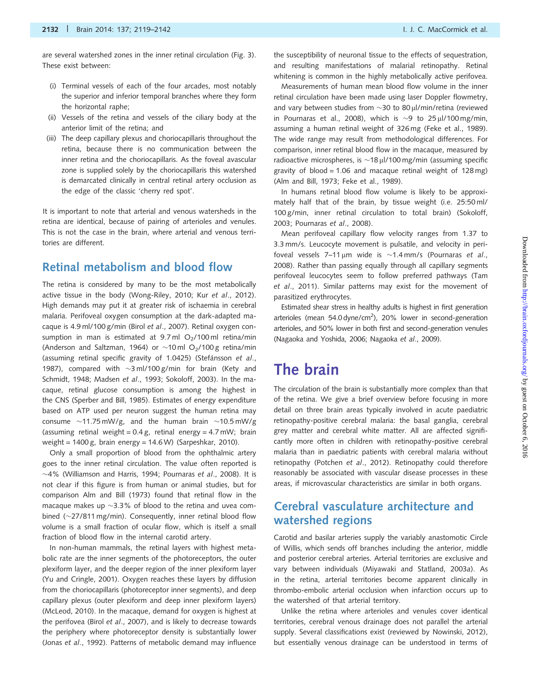are several watershed zones in the inner retinal circulation [\(Fig. 3\)](#page-11-0). These exist between:

- (i) Terminal vessels of each of the four arcades, most notably the superior and inferior temporal branches where they form the horizontal raphe;
- (ii) Vessels of the retina and vessels of the ciliary body at the anterior limit of the retina; and
- (iii) The deep capillary plexus and choriocapillaris throughout the retina, because there is no communication between the inner retina and the choriocapillaris. As the foveal avascular zone is supplied solely by the choriocapillaris this watershed is demarcated clinically in central retinal artery occlusion as the edge of the classic 'cherry red spot'.

It is important to note that arterial and venous watersheds in the retina are identical, because of pairing of arterioles and venules. This is not the case in the brain, where arterial and venous territories are different.

#### Retinal metabolism and blood flow

The retina is considered by many to be the most metabolically active tissue in the body ([Wong-Riley, 2010](#page-23-0); Kur et al[., 2012\)](#page-20-0). High demands may put it at greater risk of ischaemia in cerebral malaria. Perifoveal oxygen consumption at the dark-adapted macaque is 4.9 ml/100 g/min (Birol et al[., 2007\)](#page-19-0). Retinal oxygen consumption in man is estimated at  $9.7$  ml  $O<sub>2</sub>/100$  ml retina/min [\(Anderson and Saltzman, 1964](#page-18-0)) or  $\sim$ 10ml O<sub>2</sub>/100 g retina/min (assuming retinal specific gravity of 1.0425) (Stefánsson et al., [1987\)](#page-22-0), compared with  $\sim$ 3 ml/100 g/min for brain ([Kety and](#page-20-0) [Schmidt, 1948; Madsen](#page-20-0) et al., 1993; [Sokoloff, 2003\)](#page-22-0). In the macaque, retinal glucose consumption is among the highest in the CNS ([Sperber and Bill, 1985\)](#page-22-0). Estimates of energy expenditure based on ATP used per neuron suggest the human retina may consume  $\sim$ 11.75 mW/g, and the human brain  $\sim$ 10.5 mW/g (assuming retinal weight =  $0.4$  g, retinal energy =  $4.7$  mW; brain weight = 1400 g, brain energy = 14.6 W) [\(Sarpeshkar, 2010](#page-22-0)).

Only a small proportion of blood from the ophthalmic artery goes to the inner retinal circulation. The value often reported is  $\sim$ 4% [\(Williamson and Harris, 1994](#page-22-0); [Pournaras](#page-21-0) e $t$  al., 2008). It is not clear if this figure is from human or animal studies, but for comparison [Alm and Bill \(1973\)](#page-18-0) found that retinal flow in the macaque makes up  $\sim$ 3.3% of blood to the retina and uvea combined  $(\sim]27/811$  mg/min). Consequently, inner retinal blood flow volume is a small fraction of ocular flow, which is itself a small fraction of blood flow in the internal carotid artery.

In non-human mammals, the retinal layers with highest metabolic rate are the inner segments of the photoreceptors, the outer plexiform layer, and the deeper region of the inner plexiform layer [\(Yu and Cringle, 2001\)](#page-23-0). Oxygen reaches these layers by diffusion from the choriocapillaris (photoreceptor inner segments), and deep capillary plexus (outer plexiform and deep inner plexiform layers) [\(McLeod, 2010](#page-21-0)). In the macaque, demand for oxygen is highest at the perifovea (Birol et al[., 2007](#page-19-0)), and is likely to decrease towards the periphery where photoreceptor density is substantially lower (Jonas et al[., 1992](#page-20-0)). Patterns of metabolic demand may influence

the susceptibility of neuronal tissue to the effects of sequestration, and resulting manifestations of malarial retinopathy. Retinal whitening is common in the highly metabolically active perifovea.

Measurements of human mean blood flow volume in the inner retinal circulation have been made using laser Doppler flowmetry, and vary between studies from  $\sim$ 30 to 80 µl/min/retina (reviewed in [Pournaras et al., 2008\)](#page-21-0), which is  $\sim$ 9 to 25 µl/100 mg/min, assuming a human retinal weight of 326 mg [\(Feke et al., 1989\)](#page-19-0). The wide range may result from methodological differences. For comparison, inner retinal blood flow in the macaque, measured by radioactive microspheres, is  $\sim$ 18 µl/100 mg/min (assuming specific gravity of blood = 1.06 and macaque retinal weight of  $128 \text{ mg}$ ) ([Alm and Bill, 1973](#page-18-0); [Feke et al., 1989\)](#page-19-0).

In humans retinal blood flow volume is likely to be approximately half that of the brain, by tissue weight (i.e. 25:50 ml/ 100 g/min, inner retinal circulation to total brain) ([Sokoloff,](#page-22-0) [2003;](#page-22-0) [Pournaras](#page-21-0) et al., 2008).

Mean perifoveal capillary flow velocity ranges from 1.37 to 3.3 mm/s. Leucocyte movement is pulsatile, and velocity in perifoveal vessels  $7-11 \mu m$  wide is  $\sim 1.4 \text{ mm/s}$  [\(Pournaras](#page-21-0) et al., [2008\)](#page-21-0). Rather than passing equally through all capillary segments perifoveal leucocytes seem to follow preferred pathways ([Tam](#page-22-0) et al[., 2011\)](#page-22-0). Similar patterns may exist for the movement of parasitized erythrocytes.

Estimated shear stress in healthy adults is highest in first generation arterioles (mean 54.0 dyne/cm<sup>2</sup>), 20% lower in second-generation arterioles, and 50% lower in both first and second-generation venules ([Nagaoka and Yoshida, 2006](#page-21-0); [Nagaoka](#page-21-0) et al., 2009).

# The brain

The circulation of the brain is substantially more complex than that of the retina. We give a brief overview before focusing in more detail on three brain areas typically involved in acute paediatric retinopathy-positive cerebral malaria: the basal ganglia, cerebral grey matter and cerebral white matter. All are affected significantly more often in children with retinopathy-positive cerebral malaria than in paediatric patients with cerebral malaria without retinopathy ([Potchen](#page-21-0) et al., 2012). Retinopathy could therefore reasonably be associated with vascular disease processes in these areas, if microvascular characteristics are similar in both organs.

### Cerebral vasculature architecture and watershed regions

Carotid and basilar arteries supply the variably anastomotic Circle of Willis, which sends off branches including the anterior, middle and posterior cerebral arteries. Arterial territories are exclusive and vary between individuals [\(Miyawaki and Statland, 2003](#page-21-0)a). As in the retina, arterial territories become apparent clinically in thrombo-embolic arterial occlusion when infarction occurs up to the watershed of that arterial territory.

Unlike the retina where arterioles and venules cover identical territories, cerebral venous drainage does not parallel the arterial supply. Several classifications exist (reviewed by [Nowinski, 2012\)](#page-21-0), but essentially venous drainage can be understood in terms of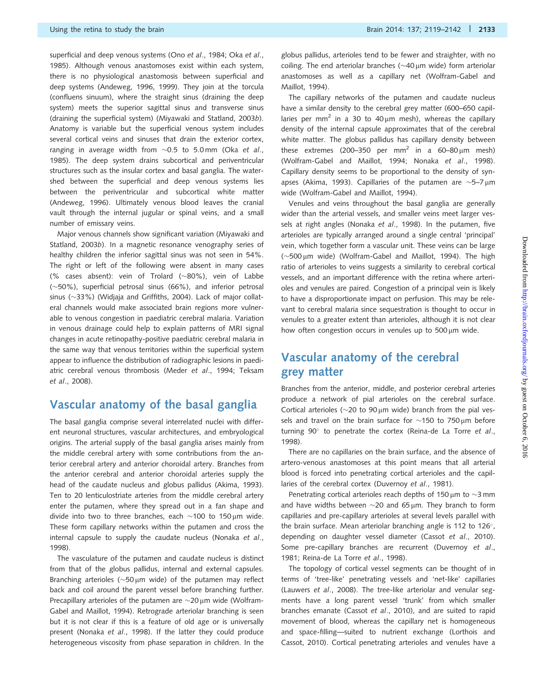superficial and deep venous systems (Ono et al[., 1984](#page-21-0); Oka [et al](#page-21-0)., [1985](#page-21-0)). Although venous anastomoses exist within each system, there is no physiological anastomosis between superficial and deep systems [\(Andeweg, 1996](#page-19-0), [1999\)](#page-19-0). They join at the torcula (confluens sinuum), where the straight sinus (draining the deep system) meets the superior sagittal sinus and transverse sinus (draining the superficial system) ([Miyawaki and Statland, 2003](#page-21-0)b). Anatomy is variable but the superficial venous system includes several cortical veins and sinuses that drain the exterior cortex, ranging in average width from  $\sim$ 0.5 to 5.0mm (Oka *[et al](#page-21-0).*, [1985](#page-21-0)). The deep system drains subcortical and periventricular structures such as the insular cortex and basal ganglia. The watershed between the superficial and deep venous systems lies between the periventricular and subcortical white matter ([Andeweg, 1996\)](#page-19-0). Ultimately venous blood leaves the cranial vault through the internal jugular or spinal veins, and a small number of emissary veins.

Major venous channels show significant variation [\(Miyawaki and](#page-21-0) [Statland, 2003](#page-21-0)b). In a magnetic resonance venography series of healthy children the inferior sagittal sinus was not seen in 54%. The right or left of the following were absent in many cases (% cases absent): vein of Trolard ( $\sim$ 80%), vein of Labbe (-50%), superficial petrosal sinus (66%), and inferior petrosal sinus ( $\sim$ 33%) ([Widjaja and Griffiths, 2004\)](#page-22-0). Lack of major collateral channels would make associated brain regions more vulnerable to venous congestion in paediatric cerebral malaria. Variation in venous drainage could help to explain patterns of MRI signal changes in acute retinopathy-positive paediatric cerebral malaria in the same way that venous territories within the superficial system appear to influence the distribution of radiographic lesions in paediatric cerebral venous thrombosis (Meder et al[., 1994;](#page-21-0) [Teksam](#page-22-0) et al[., 2008\)](#page-22-0).

#### Vascular anatomy of the basal ganglia

The basal ganglia comprise several interrelated nuclei with different neuronal structures, vascular architectures, and embryological origins. The arterial supply of the basal ganglia arises mainly from the middle cerebral artery with some contributions from the anterior cerebral artery and anterior choroidal artery. Branches from the anterior cerebral and anterior choroidal arteries supply the head of the caudate nucleus and globus pallidus ([Akima, 1993](#page-18-0)). Ten to 20 lenticulostriate arteries from the middle cerebral artery enter the putamen, where they spread out in a fan shape and divide into two to three branches, each  $\sim$ 100 to 150µm wide. These form capillary networks within the putamen and cross the internal capsule to supply the caudate nucleus ([Nonaka](#page-21-0) et al., [1998](#page-21-0)).

The vasculature of the putamen and caudate nucleus is distinct from that of the globus pallidus, internal and external capsules. Branching arterioles ( $\sim$ 50µm wide) of the putamen may reflect back and coil around the parent vessel before branching further. Precapillary arterioles of the putamen are  $\sim$ 20µm wide [\(Wolfram-](#page-23-0)[Gabel and Maillot, 1994](#page-23-0)). Retrograde arteriolar branching is seen but it is not clear if this is a feature of old age or is universally present (Nonaka et al[., 1998\)](#page-21-0). If the latter they could produce heterogeneous viscosity from phase separation in children. In the globus pallidus, arterioles tend to be fewer and straighter, with no coiling. The end arteriolar branches ( $\sim$ 40  $\mu$ m wide) form arteriolar anastomoses as well as a capillary net [\(Wolfram-Gabel and](#page-23-0) [Maillot, 1994](#page-23-0)).

The capillary networks of the putamen and caudate nucleus have a similar density to the cerebral grey matter (600–650 capillaries per mm<sup>2</sup> in a 30 to 40  $\mu$ m mesh), whereas the capillary density of the internal capsule approximates that of the cerebral white matter. The globus pallidus has capillary density between these extremes (200–350 per mm<sup>2</sup> in a 60–80  $\mu$ m mesh) [\(Wolfram-Gabel and Maillot, 1994;](#page-23-0) Nonaka et al[., 1998](#page-21-0)). Capillary density seems to be proportional to the density of syn-apses ([Akima, 1993\)](#page-18-0). Capillaries of the putamen are  $\sim$ 5–7 $\mu$ m wide [\(Wolfram-Gabel and Maillot, 1994\)](#page-23-0).

Venules and veins throughout the basal ganglia are generally wider than the arterial vessels, and smaller veins meet larger ves-sels at right angles [\(Nonaka](#page-21-0) et al., 1998). In the putamen, five arterioles are typically arranged around a single central 'principal' vein, which together form a vascular unit. These veins can be large (~500 μm wide) ([Wolfram-Gabel and Maillot, 1994](#page-23-0)). The high ratio of arterioles to veins suggests a similarity to cerebral cortical vessels, and an important difference with the retina where arterioles and venules are paired. Congestion of a principal vein is likely to have a disproportionate impact on perfusion. This may be relevant to cerebral malaria since sequestration is thought to occur in venules to a greater extent than arterioles, although it is not clear how often congestion occurs in venules up to  $500 \mu m$  wide.

### Vascular anatomy of the cerebral grey matter

Branches from the anterior, middle, and posterior cerebral arteries produce a network of pial arterioles on the cerebral surface. Cortical arterioles ( $\sim$ 20 to 90  $\mu$ m wide) branch from the pial vessels and travel on the brain surface for  $\sim$ 150 to 750 $\,\rm \mu m$  before turning  $90^\circ$  to penetrate the cortex [\(Reina-de La Torre](#page-22-0) et al., [1998](#page-22-0)).

There are no capillaries on the brain surface, and the absence of artero-venous anastomoses at this point means that all arterial blood is forced into penetrating cortical arterioles and the capil-laries of the cerebral cortex [\(Duvernoy](#page-19-0) et al., 1981).

Penetrating cortical arterioles reach depths of 150  $\mu$ m to  ${\sim}$ 3 mm and have widths between  $\sim$ 20 and 65 µm. They branch to form capillaries and pre-capillary arterioles at several levels parallel with the brain surface. Mean arteriolar branching angle is 112 to 126 $^{\circ}$ , depending on daughter vessel diameter (Cassot et al[., 2010](#page-19-0)). Some pre-capillary branches are recurrent [\(Duvernoy](#page-19-0) et al., [1981](#page-19-0); [Reina-de La Torre](#page-22-0) et al., 1998).

The topology of cortical vessel segments can be thought of in terms of 'tree-like' penetrating vessels and 'net-like' capillaries [\(Lauwers](#page-20-0) et al., 2008). The tree-like arteriolar and venular segments have a long parent vessel 'trunk' from which smaller branches emanate (Cassot et al[., 2010\)](#page-19-0), and are suited to rapid movement of blood, whereas the capillary net is homogeneous and space-filling—suited to nutrient exchange [\(Lorthois and](#page-20-0) [Cassot, 2010](#page-20-0)). Cortical penetrating arterioles and venules have a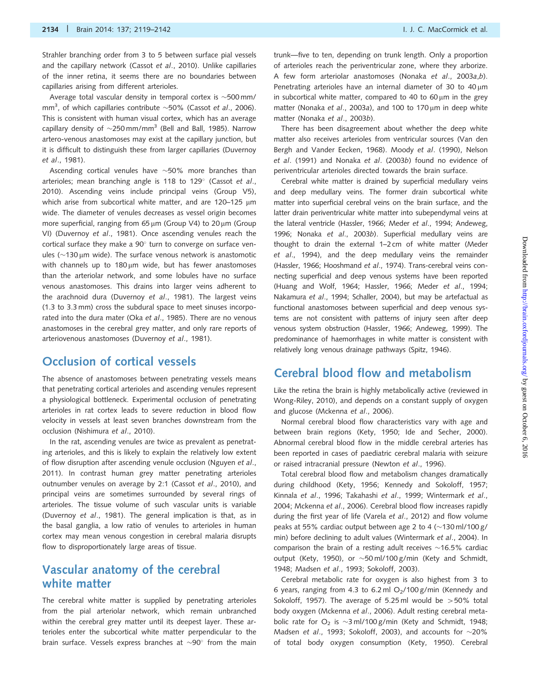Strahler branching order from 3 to 5 between surface pial vessels and the capillary network (Cassot et al[., 2010](#page-19-0)). Unlike capillaries of the inner retina, it seems there are no boundaries between capillaries arising from different arterioles.

Average total vascular density in temporal cortex is  $\sim$  500 mm/ mm<sup>3</sup>, of which capillaries contribute  $\sim$ 50% (Cassot et al[., 2006\)](#page-19-0). This is consistent with human visual cortex, which has an average capillary density of  $\sim$ 250 mm/mm $^3$  ([Bell and Ball, 1985](#page-19-0)). Narrow artero-venous anastomoses may exist at the capillary junction, but it is difficult to distinguish these from larger capillaries [\(Duvernoy](#page-19-0) et al[., 1981](#page-19-0)).

Ascending cortical venules have  $\sim$ 50% more branches than arterioles; mean branching angle is 118 to 129 $^{\circ}$  [\(Cassot](#page-19-0) et al., [2010\)](#page-19-0). Ascending veins include principal veins (Group V5), which arise from subcortical white matter, and are 120–125  $\mu$ m wide. The diameter of venules decreases as vessel origin becomes more superficial, ranging from 65  $\mu$ m (Group V4) to 20  $\mu$ m (Group VI) [\(Duvernoy](#page-19-0) et al., 1981). Once ascending venules reach the cortical surface they make a  $90^{\circ}$  turn to converge on surface venules ( $\sim$ 130 µm wide). The surface venous network is anastomotic with channels up to  $180 \mu m$  wide, but has fewer anastomoses than the arteriolar network, and some lobules have no surface venous anastomoses. This drains into larger veins adherent to the arachnoid dura [\(Duvernoy](#page-19-0) et al., 1981). The largest veins (1.3 to 3.3 mm) cross the subdural space to meet sinuses incorporated into the dura mater (Oka et al[., 1985\)](#page-21-0). There are no venous anastomoses in the cerebral grey matter, and only rare reports of arteriovenous anastomoses [\(Duvernoy](#page-19-0) et al., 1981).

#### Occlusion of cortical vessels

The absence of anastomoses between penetrating vessels means that penetrating cortical arterioles and ascending venules represent a physiological bottleneck. Experimental occlusion of penetrating arterioles in rat cortex leads to severe reduction in blood flow velocity in vessels at least seven branches downstream from the occlusion ([Nishimura](#page-21-0) et al., 2010).

In the rat, ascending venules are twice as prevalent as penetrating arterioles, and this is likely to explain the relatively low extent of flow disruption after ascending venule occlusion ([Nguyen](#page-21-0) et al., [2011\)](#page-21-0). In contrast human grey matter penetrating arterioles outnumber venules on average by 2:1 (Cassot et al[., 2010\)](#page-19-0), and principal veins are sometimes surrounded by several rings of arterioles. The tissue volume of such vascular units is variable [\(Duvernoy](#page-19-0) et al., 1981). The general implication is that, as in the basal ganglia, a low ratio of venules to arterioles in human cortex may mean venous congestion in cerebral malaria disrupts flow to disproportionately large areas of tissue.

#### Vascular anatomy of the cerebral white matter

The cerebral white matter is supplied by penetrating arterioles from the pial arteriolar network, which remain unbranched within the cerebral grey matter until its deepest layer. These arterioles enter the subcortical white matter perpendicular to the brain surface. Vessels express branches at  $\sim$ 90 $^{\circ}$  from the main

trunk—five to ten, depending on trunk length. Only a proportion of arterioles reach the periventricular zone, where they arborize. A few form arteriolar anastomoses (Nonaka et al[., 2003](#page-21-0)a,b). Penetrating arterioles have an internal diameter of 30 to  $40 \mu m$ in subcortical white matter, compared to 40 to 60  $\mu$ m in the grey matter [\(Nonaka](#page-21-0) et al., 2003a), and 100 to 170  $\mu$ m in deep white matter [\(Nonaka](#page-21-0) et al., 2003b).

There has been disagreement about whether the deep white matter also receives arterioles from ventricular sources ([Van den](#page-19-0) [Bergh and Vander Eecken, 1968](#page-19-0)). Moody et al[. \(1990\), Nelson](#page-21-0) et al[. \(1991\)](#page-21-0) and Nonaka et al[. \(2003](#page-21-0)b) found no evidence of periventricular arterioles directed towards the brain surface.

Cerebral white matter is drained by superficial medullary veins and deep medullary veins. The former drain subcortical white matter into superficial cerebral veins on the brain surface, and the latter drain periventricular white matter into subependymal veins at the lateral ventricle [\(Hassler, 1966](#page-20-0); Meder et al[., 1994;](#page-21-0) [Andeweg,](#page-19-0) [1996](#page-19-0); Nonaka et al[., 2003](#page-21-0)b). Superficial medullary veins are thought to drain the external 1–2 cm of white matter [\(Meder](#page-21-0) et al[., 1994\)](#page-21-0), and the deep medullary veins the remainder ([Hassler, 1966; Hooshmand](#page-20-0) et al., 1974). Trans-cerebral veins connecting superficial and deep venous systems have been reported ([Huang and Wolf, 1964; Hassler, 1966;](#page-20-0) Meder et al[., 1994;](#page-21-0) [Nakamura](#page-21-0) et al., 1994; [Schaller, 2004\)](#page-22-0), but may be artefactual as functional anastomoses between superficial and deep venous systems are not consistent with patterns of injury seen after deep venous system obstruction [\(Hassler, 1966](#page-20-0); [Andeweg, 1999](#page-19-0)). The predominance of haemorrhages in white matter is consistent with relatively long venous drainage pathways [\(Spitz, 1946](#page-22-0)).

#### Cerebral blood flow and metabolism

Like the retina the brain is highly metabolically active (reviewed in [Wong-Riley, 2010](#page-23-0)), and depends on a constant supply of oxygen and glucose [\(Mckenna](#page-20-0) et al., 2006).

Normal cerebral blood flow characteristics vary with age and between brain regions ([Kety, 1950](#page-20-0); [Ide and Secher, 2000\)](#page-20-0). Abnormal cerebral blood flow in the middle cerebral arteries has been reported in cases of paediatric cerebral malaria with seizure or raised intracranial pressure ([Newton](#page-21-0) et al., 1996).

Total cerebral blood flow and metabolism changes dramatically during childhood [\(Kety, 1956; Kennedy and Sokoloff, 1957;](#page-20-0) Kinnala et al[., 1996](#page-20-0); [Takahashi](#page-22-0) et al., 1999; [Wintermark](#page-23-0) et al., [2004;](#page-23-0) [Mckenna](#page-20-0) et al., 2006). Cerebral blood flow increases rapidly during the first year of life (Varela et al[., 2012](#page-22-0)) and flow volume peaks at 55% cardiac output between age 2 to 4 ( $\sim$ 130 ml/100 g/ min) before declining to adult values [\(Wintermark](#page-23-0) et al., 2004). In comparison the brain of a resting adult receives  $\sim$ 16.5% cardiac output [\(Kety, 1950\)](#page-20-0), or  $\sim$  50 ml/100 g/min ([Kety and Schmidt,](#page-20-0) [1948; Madsen](#page-20-0) et al., 1993; [Sokoloff, 2003](#page-22-0)).

Cerebral metabolic rate for oxygen is also highest from 3 to 6 years, ranging from 4.3 to 6.2 ml  $O_2/100$  g/min ([Kennedy and](#page-20-0) [Sokoloff, 1957](#page-20-0)). The average of 5.25 ml would be  $>50\%$  total body oxygen ([Mckenna](#page-20-0) et al., 2006). Adult resting cerebral metabolic rate for  $O_2$  is  $\sim$ 3 ml/100 g/min [\(Kety and Schmidt, 1948;](#page-20-0) [Madsen](#page-20-0) et al., 1993; [Sokoloff, 2003](#page-22-0)), and accounts for  $\sim$ 20% of total body oxygen consumption ([Kety, 1950\)](#page-20-0). Cerebral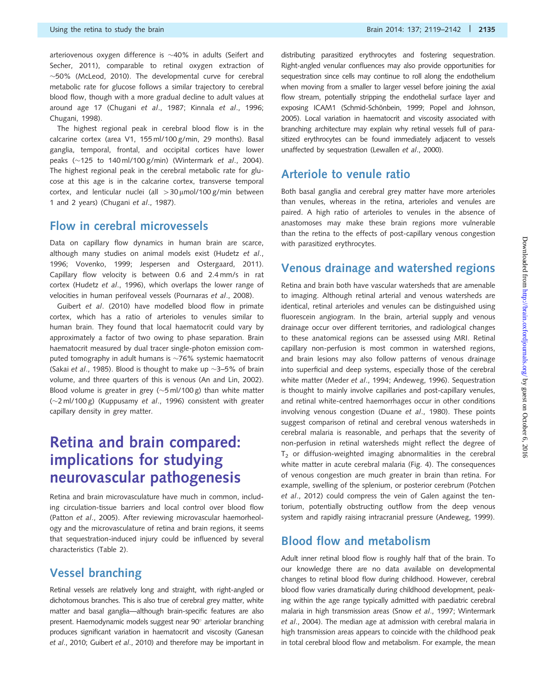Using the retina to study the brain Brain Brain 2014: 137; 2119–2142 | 2135

arteriovenous oxygen difference is  ${\sim}40\%$  in adults ([Seifert and](#page-22-0) [Secher, 2011](#page-22-0)), comparable to retinal oxygen extraction of  $\sim$ 50% ([McLeod, 2010\)](#page-21-0). The developmental curve for cerebral metabolic rate for glucose follows a similar trajectory to cerebral blood flow, though with a more gradual decline to adult values at around age 17 ([Chugani](#page-19-0) et al., 1987; Kinnala et al[., 1996](#page-20-0); [Chugani, 1998\)](#page-19-0).

The highest regional peak in cerebral blood flow is in the calcarine cortex (area V1, 155 ml/100 g/min, 29 months). Basal ganglia, temporal, frontal, and occipital cortices have lower peaks (~125 to 140 ml/100 g/min) ([Wintermark](#page-23-0) et al., 2004). The highest regional peak in the cerebral metabolic rate for glucose at this age is in the calcarine cortex, transverse temporal cortex, and lenticular nuclei (all  $>$ 30 µmol/100 g/min between 1 and 2 years) ([Chugani](#page-19-0) et al., 1987).

#### Flow in cerebral microvessels

Data on capillary flow dynamics in human brain are scarce, although many studies on animal models exist [\(Hudetz](#page-20-0) et al., [1996](#page-20-0); [Vovenko, 1999;](#page-22-0) [Jespersen and Ostergaard, 2011](#page-20-0)). Capillary flow velocity is between 0.6 and 2.4 mm/s in rat cortex (Hudetz et al[., 1996\)](#page-20-0), which overlaps the lower range of velocities in human perifoveal vessels [\(Pournaras](#page-21-0) et al., 2008).

Guibert et al[. \(2010\)](#page-20-0) have modelled blood flow in primate cortex, which has a ratio of arterioles to venules similar to human brain. They found that local haematocrit could vary by approximately a factor of two owing to phase separation. Brain haematocrit measured by dual tracer single-photon emission computed tomography in adult humans is  $\sim$ 76% systemic haematocrit (Sakai et al[., 1985](#page-22-0)). Blood is thought to make up  $\sim$ 3–5% of brain volume, and three quarters of this is venous [\(An and Lin, 2002](#page-18-0)). Blood volume is greater in grey ( $\sim$ 5 ml/100 g) than white matter  $(\sim]2 \text{ ml}/100 \text{ g}$ ) ([Kuppusamy](#page-20-0) et al., 1996) consistent with greater capillary density in grey matter.

# Retina and brain compared: implications for studying neurovascular pathogenesis

Retina and brain microvasculature have much in common, including circulation-tissue barriers and local control over blood flow (Patton et al[., 2005\)](#page-21-0). After reviewing microvascular haemorheology and the microvasculature of retina and brain regions, it seems that sequestration-induced injury could be influenced by several characteristics [\(Table 2\)](#page-10-0).

#### Vessel branching

Retinal vessels are relatively long and straight, with right-angled or dichotomous branches. This is also true of cerebral grey matter, white matter and basal ganglia—although brain-specific features are also present. Haemodynamic models suggest near 90° arteriolar branching produces significant variation in haematocrit and viscosity [\(Ganesan](#page-19-0) et al[., 2010;](#page-19-0) [Guibert](#page-20-0) et al., 2010) and therefore may be important in distributing parasitized erythrocytes and fostering sequestration. Right-angled venular confluences may also provide opportunities for sequestration since cells may continue to roll along the endothelium when moving from a smaller to larger vessel before joining the axial flow stream, potentially stripping the endothelial surface layer and exposing ICAM1 (Schmid-Schö[nbein, 1999;](#page-22-0) [Popel and Johnson,](#page-21-0) [2005\)](#page-21-0). Local variation in haematocrit and viscosity associated with branching architecture may explain why retinal vessels full of parasitized erythrocytes can be found immediately adjacent to vessels unaffected by sequestration ([Lewallen](#page-20-0) et al., 2000).

### Arteriole to venule ratio

Both basal ganglia and cerebral grey matter have more arterioles than venules, whereas in the retina, arterioles and venules are paired. A high ratio of arterioles to venules in the absence of anastomoses may make these brain regions more vulnerable than the retina to the effects of post-capillary venous congestion with parasitized erythrocytes.

### Venous drainage and watershed regions

Retina and brain both have vascular watersheds that are amenable to imaging. Although retinal arterial and venous watersheds are identical, retinal arterioles and venules can be distinguished using fluorescein angiogram. In the brain, arterial supply and venous drainage occur over different territories, and radiological changes to these anatomical regions can be assessed using MRI. Retinal capillary non-perfusion is most common in watershed regions, and brain lesions may also follow patterns of venous drainage into superficial and deep systems, especially those of the cerebral white matter (Meder et al[., 1994](#page-21-0); [Andeweg, 1996](#page-19-0)). Sequestration is thought to mainly involve capillaries and post-capillary venules, and retinal white-centred haemorrhages occur in other conditions involving venous congestion (Duane et al[., 1980\)](#page-19-0). These points suggest comparison of retinal and cerebral venous watersheds in cerebral malaria is reasonable, and perhaps that the severity of non-perfusion in retinal watersheds might reflect the degree of  $T<sub>2</sub>$  or diffusion-weighted imaging abnormalities in the cerebral white matter in acute cerebral malaria [\(Fig. 4](#page-17-0)). The consequences of venous congestion are much greater in brain than retina. For example, swelling of the splenium, or posterior cerebrum ([Potchen](#page-21-0) et al[., 2012](#page-21-0)) could compress the vein of Galen against the tentorium, potentially obstructing outflow from the deep venous system and rapidly raising intracranial pressure ([Andeweg, 1999\)](#page-19-0).

### Blood flow and metabolism

Adult inner retinal blood flow is roughly half that of the brain. To our knowledge there are no data available on developmental changes to retinal blood flow during childhood. However, cerebral blood flow varies dramatically during childhood development, peaking within the age range typically admitted with paediatric cerebral malaria in high transmission areas (Snow et al[., 1997](#page-22-0); [Wintermark](#page-23-0) et al[., 2004\)](#page-23-0). The median age at admission with cerebral malaria in high transmission areas appears to coincide with the childhood peak in total cerebral blood flow and metabolism. For example, the mean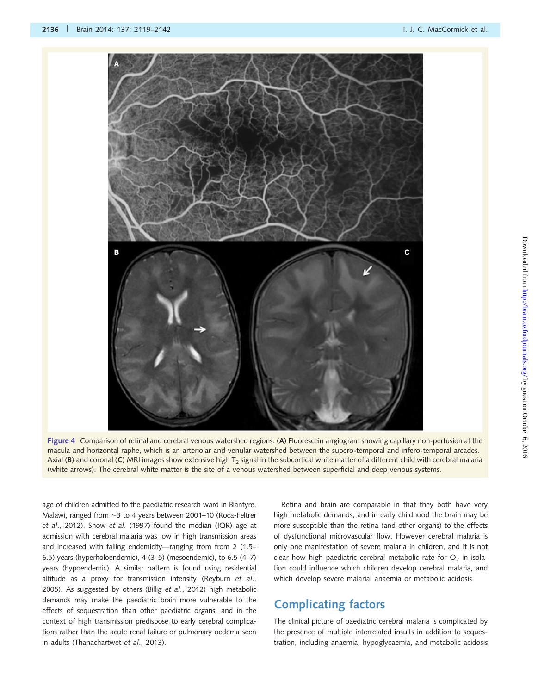<span id="page-17-0"></span>



age of children admitted to the paediatric research ward in Blantyre, Malawi, ranged from  ${\sim}3$  to 4 years between 2001–10 [\(Roca-Feltrer](#page-22-0) et al[., 2012\)](#page-22-0). Snow et al[. \(1997\)](#page-22-0) found the median (IQR) age at admission with cerebral malaria was low in high transmission areas and increased with falling endemicity—ranging from from 2 (1.5– 6.5) years (hyperholoendemic), 4 (3–5) (mesoendemic), to 6.5 (4–7) years (hypoendemic). A similar pattern is found using residential altitude as a proxy for transmission intensity ([Reyburn](#page-22-0) et al., [2005\)](#page-22-0). As suggested by others (Billig et al[., 2012\)](#page-19-0) high metabolic demands may make the paediatric brain more vulnerable to the effects of sequestration than other paediatric organs, and in the context of high transmission predispose to early cerebral complications rather than the acute renal failure or pulmonary oedema seen in adults [\(Thanachartwet](#page-22-0) et al., 2013).

Retina and brain are comparable in that they both have very high metabolic demands, and in early childhood the brain may be more susceptible than the retina (and other organs) to the effects of dysfunctional microvascular flow. However cerebral malaria is only one manifestation of severe malaria in children, and it is not clear how high paediatric cerebral metabolic rate for  $O<sub>2</sub>$  in isolation could influence which children develop cerebral malaria, and which develop severe malarial anaemia or metabolic acidosis.

### Complicating factors

The clinical picture of paediatric cerebral malaria is complicated by the presence of multiple interrelated insults in addition to sequestration, including anaemia, hypoglycaemia, and metabolic acidosis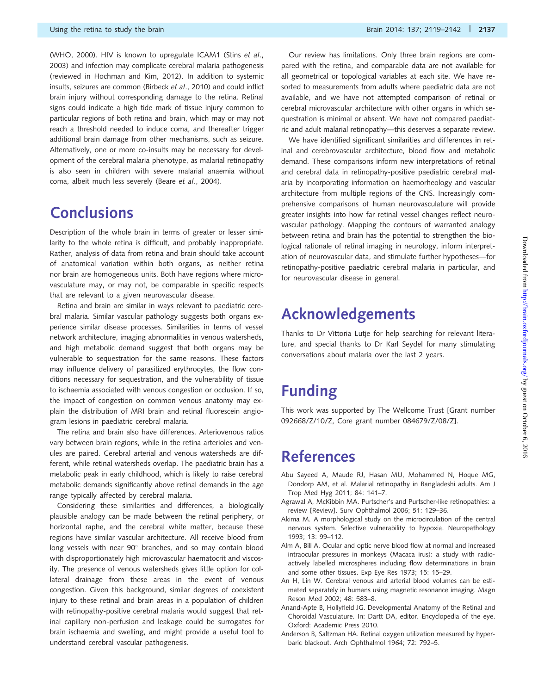<span id="page-18-0"></span>([WHO, 2000\)](#page-22-0). HIV is known to upregulate ICAM1 (Stins [et al](#page-22-0)., [2003](#page-22-0)) and infection may complicate cerebral malaria pathogenesis (reviewed in [Hochman and Kim, 2012](#page-20-0)). In addition to systemic insults, seizures are common ([Birbeck](#page-19-0) et al., 2010) and could inflict brain injury without corresponding damage to the retina. Retinal signs could indicate a high tide mark of tissue injury common to particular regions of both retina and brain, which may or may not reach a threshold needed to induce coma, and thereafter trigger additional brain damage from other mechanisms, such as seizure. Alternatively, one or more co-insults may be necessary for development of the cerebral malaria phenotype, as malarial retinopathy is also seen in children with severe malarial anaemia without coma, albeit much less severely (Beare et al[., 2004\)](#page-19-0).

# **Conclusions**

Description of the whole brain in terms of greater or lesser similarity to the whole retina is difficult, and probably inappropriate. Rather, analysis of data from retina and brain should take account of anatomical variation within both organs, as neither retina nor brain are homogeneous units. Both have regions where microvasculature may, or may not, be comparable in specific respects that are relevant to a given neurovascular disease.

Retina and brain are similar in ways relevant to paediatric cerebral malaria. Similar vascular pathology suggests both organs experience similar disease processes. Similarities in terms of vessel network architecture, imaging abnormalities in venous watersheds, and high metabolic demand suggest that both organs may be vulnerable to sequestration for the same reasons. These factors may influence delivery of parasitized erythrocytes, the flow conditions necessary for sequestration, and the vulnerability of tissue to ischaemia associated with venous congestion or occlusion. If so, the impact of congestion on common venous anatomy may explain the distribution of MRI brain and retinal fluorescein angiogram lesions in paediatric cerebral malaria.

The retina and brain also have differences. Arteriovenous ratios vary between brain regions, while in the retina arterioles and venules are paired. Cerebral arterial and venous watersheds are different, while retinal watersheds overlap. The paediatric brain has a metabolic peak in early childhood, which is likely to raise cerebral metabolic demands significantly above retinal demands in the age range typically affected by cerebral malaria.

Considering these similarities and differences, a biologically plausible analogy can be made between the retinal periphery, or horizontal raphe, and the cerebral white matter, because these regions have similar vascular architecture. All receive blood from long vessels with near  $90^\circ$  branches, and so may contain blood with disproportionately high microvascular haematocrit and viscosity. The presence of venous watersheds gives little option for collateral drainage from these areas in the event of venous congestion. Given this background, similar degrees of coexistent injury to these retinal and brain areas in a population of children with retinopathy-positive cerebral malaria would suggest that retinal capillary non-perfusion and leakage could be surrogates for brain ischaemia and swelling, and might provide a useful tool to understand cerebral vascular pathogenesis.

Our review has limitations. Only three brain regions are compared with the retina, and comparable data are not available for all geometrical or topological variables at each site. We have resorted to measurements from adults where paediatric data are not available, and we have not attempted comparison of retinal or cerebral microvascular architecture with other organs in which sequestration is minimal or absent. We have not compared paediatric and adult malarial retinopathy—this deserves a separate review.

We have identified significant similarities and differences in retinal and cerebrovascular architecture, blood flow and metabolic demand. These comparisons inform new interpretations of retinal and cerebral data in retinopathy-positive paediatric cerebral malaria by incorporating information on haemorheology and vascular architecture from multiple regions of the CNS. Increasingly comprehensive comparisons of human neurovasculature will provide greater insights into how far retinal vessel changes reflect neurovascular pathology. Mapping the contours of warranted analogy between retina and brain has the potential to strengthen the biological rationale of retinal imaging in neurology, inform interpretation of neurovascular data, and stimulate further hypotheses—for retinopathy-positive paediatric cerebral malaria in particular, and for neurovascular disease in general.

# Acknowledgements

Thanks to Dr Vittoria Lutje for help searching for relevant literature, and special thanks to Dr Karl Seydel for many stimulating conversations about malaria over the last 2 years.

# Funding

This work was supported by The Wellcome Trust [Grant number 092668/Z/10/Z, Core grant number 084679/Z/08/Z].

# References

- Abu Sayeed A, Maude RJ, Hasan MU, Mohammed N, Hoque MG, Dondorp AM, et al. Malarial retinopathy in Bangladeshi adults. Am J Trop Med Hyg 2011; 84: 141–7.
- Agrawal A, McKibbin MA. Purtscher's and Purtscher-like retinopathies: a review [Review]. Surv Ophthalmol 2006; 51: 129–36.
- Akima M. A morphological study on the microcirculation of the central nervous system. Selective vulnerability to hypoxia. Neuropathology 1993; 13: 99–112.
- Alm A, Bill A. Ocular and optic nerve blood flow at normal and increased intraocular pressures in monkeys (Macaca irus): a study with radioactively labelled microspheres including flow determinations in brain and some other tissues. Exp Eye Res 1973; 15: 15–29.
- An H, Lin W. Cerebral venous and arterial blood volumes can be estimated separately in humans using magnetic resonance imaging. Magn Reson Med 2002; 48: 583–8.
- Anand-Apte B, Hollyfield JG. Developmental Anatomy of the Retinal and Choroidal Vasculature. In: Dartt DA, editor. Encyclopedia of the eye. Oxford: Academic Press 2010.
- Anderson B, Saltzman HA. Retinal oxygen utilization measured by hyperbaric blackout. Arch Ophthalmol 1964; 72: 792–5.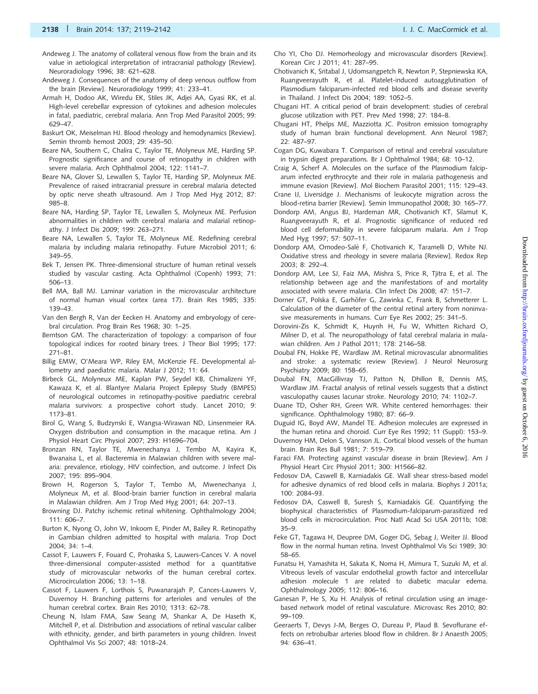- <span id="page-19-0"></span>Andeweg J. The anatomy of collateral venous flow from the brain and its value in aetiological interpretation of intracranial pathology [Review]. Neuroradiology 1996; 38: 621–628.
- Andeweg J. Consequences of the anatomy of deep venous outflow from the brain [Review]. Neuroradiology 1999; 41: 233–41.
- Armah H, Dodoo AK, Wiredu EK, Stiles JK, Adjei AA, Gyasi RK, et al. High-level cerebellar expression of cytokines and adhesion molecules in fatal, paediatric, cerebral malaria. Ann Trop Med Parasitol 2005; 99: 629–47.
- Baskurt OK, Meiselman HJ. Blood rheology and hemodynamics [Review]. Semin thromb hemost 2003; 29: 435–50.
- Beare NA, Southern C, Chalira C, Taylor TE, Molyneux ME, Harding SP. Prognostic significance and course of retinopathy in children with severe malaria. Arch Ophthalmol 2004; 122: 1141–7.
- Beare NA, Glover SJ, Lewallen S, Taylor TE, Harding SP, Molyneux ME. Prevalence of raised intracranial pressure in cerebral malaria detected by optic nerve sheath ultrasound. Am J Trop Med Hyg 2012; 87: 985–8.
- Beare NA, Harding SP, Taylor TE, Lewallen S, Molyneux ME. Perfusion abnormalities in children with cerebral malaria and malarial retinopathy. J Infect Dis 2009; 199: 263–271.
- Beare NA, Lewallen S, Taylor TE, Molyneux ME. Redefining cerebral malaria by including malaria retinopathy. Future Microbiol 2011; 6: 349–55.
- Bek T, Jensen PK. Three-dimensional structure of human retinal vessels studied by vascular casting. Acta Ophthalmol (Copenh) 1993; 71: 506–13.
- Bell MA, Ball MJ. Laminar variation in the microvascular architecture of normal human visual cortex (area 17). Brain Res 1985; 335: 139–43.
- Van den Bergh R, Van der Eecken H. Anatomy and embryology of cerebral circulation. Prog Brain Res 1968; 30: 1–25.
- Berntson GM. The characterization of topology: a comparison of four topological indices for rooted binary trees. J Theor Biol 1995; 177: 271–81.
- Billig EMW, O'Meara WP, Riley EM, McKenzie FE. Developmental allometry and paediatric malaria. Malar J 2012; 11: 64.
- Birbeck GL, Molyneux ME, Kaplan PW, Seydel KB, Chimalizeni YF, Kawaza K, et al. Blantyre Malaria Project Epilepsy Study (BMPES) of neurological outcomes in retinopathy-positive paediatric cerebral malaria survivors: a prospective cohort study. Lancet 2010; 9: 1173–81.
- Birol G, Wang S, Budzynski E, Wangsa-Wirawan ND, Linsenmeier RA. Oxygen distribution and consumption in the macaque retina. Am J Physiol Heart Circ Physiol 2007; 293: H1696–704.
- Bronzan RN, Taylor TE, Mwenechanya J, Tembo M, Kayira K, Bwanaisa L, et al. Bacteremia in Malawian children with severe malaria: prevalence, etiology, HIV coinfection, and outcome. J Infect Dis 2007; 195: 895–904.
- Brown H, Rogerson S, Taylor T, Tembo M, Mwenechanya J, Molyneux M, et al. Blood-brain barrier function in cerebral malaria in Malawian children. Am J Trop Med Hyg 2001; 64: 207–13.
- Browning DJ. Patchy ischemic retinal whitening. Ophthalmology 2004; 111: 606–7.
- Burton K, Nyong O, John W, Inkoom E, Pinder M, Bailey R. Retinopathy in Gambian children admitted to hospital with malaria. Trop Doct 2004; 34: 1–4.
- Cassot F, Lauwers F, Fouard C, Prohaska S, Lauwers-Cances V. A novel three-dimensional computer-assisted method for a quantitative study of microvascular networks of the human cerebral cortex. Microcirculation 2006; 13: 1–18.
- Cassot F, Lauwers F, Lorthois S, Puwanarajah P, Cances-Lauwers V, Duvernoy H. Branching patterns for arterioles and venules of the human cerebral cortex. Brain Res 2010; 1313: 62–78.
- Cheung N, Islam FMA, Saw Seang M, Shankar A, De Haseth K, Mitchell P, et al. Distribution and associations of retinal vascular caliber with ethnicity, gender, and birth parameters in young children. Invest Ophthalmol Vis Sci 2007; 48: 1018–24.
- Cho YI, Cho DJ. Hemorheology and microvascular disorders [Review]. Korean Circ J 2011; 41: 287–95.
- Chotivanich K, Sritabal J, Udomsangpetch R, Newton P, Stepniewska KA, Ruangveerayuth R, et al. Platelet-induced autoagglutination of Plasmodium falciparum-infected red blood cells and disease severity in Thailand. J Infect Dis 2004; 189: 1052–5.
- Chugani HT. A critical period of brain development: studies of cerebral glucose utilization with PET. Prev Med 1998; 27: 184–8.
- Chugani HT, Phelps ME, Mazziotta JC. Positron emission tomography study of human brain functional development. Ann Neurol 1987;  $22.487 - 97.$
- Cogan DG, Kuwabara T. Comparison of retinal and cerebral vasculature in trypsin digest preparations. Br J Ophthalmol 1984; 68: 10–12.
- Craig A, Scherf A. Molecules on the surface of the Plasmodium falciparum infected erythrocyte and their role in malaria pathogenesis and immune evasion [Review]. Mol Biochem Parasitol 2001; 115: 129–43.
- Crane IJ, Liversidge J. Mechanisms of leukocyte migration across the blood-retina barrier [Review]. Semin Immunopathol 2008; 30: 165–77.
- Dondorp AM, Angus BJ, Hardeman MR, Chotivanich KT, Silamut K, Ruangveerayuth R, et al. Prognostic significance of reduced red blood cell deformability in severe falciparum malaria. Am J Trop Med Hyg 1997; 57: 507–11.
- Dondorp AM, Omodeo-Sale` F, Chotivanich K, Taramelli D, White NJ. Oxidative stress and rheology in severe malaria [Review]. Redox Rep 2003; 8: 292–4.
- Dondorp AM, Lee SJ, Faiz MA, Mishra S, Price R, Tjitra E, et al. The relationship between age and the manifestations of and mortality associated with severe malaria. Clin Infect Dis 2008; 47: 151–7.
- Dorner GT, Polska E, Garhöfer G, Zawinka C, Frank B, Schmetterer L. Calculation of the diameter of the central retinal artery from noninvasive measurements in humans. Curr Eye Res 2002; 25: 341–5.
- Dorovini-Zis K, Schmidt K, Huynh H, Fu W, Whitten Richard O, Milner D, et al. The neuropathology of fatal cerebral malaria in malawian children. Am J Pathol 2011; 178: 2146–58.
- Doubal FN, Hokke PE, Wardlaw JM. Retinal microvascular abnormalities and stroke: a systematic review [Review]. J Neurol Neurosurg Psychiatry 2009; 80: 158–65.
- Doubal FN, MacGillivray TJ, Patton N, Dhillon B, Dennis MS, Wardlaw JM. Fractal analysis of retinal vessels suggests that a distinct vasculopathy causes lacunar stroke. Neurology 2010; 74: 1102–7.
- Duane TD, Osher RH, Green WR. White centered hemorrhages: their significance. Ophthalmology 1980; 87: 66–9.
- Duguid IG, Boyd AW, Mandel TE. Adhesion molecules are expressed in the human retina and choroid. Curr Eye Res 1992; 11 (Suppl): 153–9.
- Duvernoy HM, Delon S, Vannson JL. Cortical blood vessels of the human brain. Brain Res Bull 1981; 7: 519–79.
- Faraci FM. Protecting against vascular disease in brain [Review]. Am J Physiol Heart Circ Physiol 2011; 300: H1566–82.
- Fedosov DA, Caswell B, Karniadakis GE. Wall shear stress-based model for adhesive dynamics of red blood cells in malaria. Biophys J 2011a; 100: 2084–93.
- Fedosov DA, Caswell B, Suresh S, Karniadakis GE. Quantifying the biophysical characteristics of Plasmodium-falciparum-parasitized red blood cells in microcirculation. Proc Natl Acad Sci USA 2011b; 108: 35–9.
- Feke GT, Tagawa H, Deupree DM, Goger DG, Sebag J, Weiter JJ. Blood flow in the normal human retina. Invest Ophthalmol Vis Sci 1989; 30: 58–65.
- Funatsu H, Yamashita H, Sakata K, Noma H, Mimura T, Suzuki M, et al. Vitreous levels of vascular endothelial growth factor and intercellular adhesion molecule 1 are related to diabetic macular edema. Ophthalmology 2005; 112: 806–16.
- Ganesan P, He S, Xu H. Analysis of retinal circulation using an imagebased network model of retinal vasculature. Microvasc Res 2010; 80: 99–109.
- Geeraerts T, Devys J-M, Berges O, Dureau P, Plaud B. Sevoflurane effects on retrobulbar arteries blood flow in children. Br J Anaesth 2005; 94: 636–41.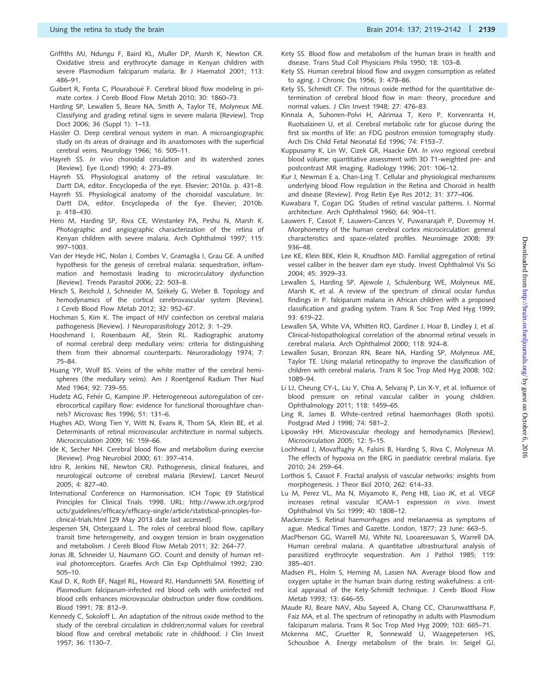- <span id="page-20-0"></span>Griffiths MJ, Ndungu F, Baird KL, Muller DP, Marsh K, Newton CR. Oxidative stress and erythrocyte damage in Kenyan children with severe Plasmodium falciparum malaria. Br J Haematol 2001; 113: 486–91.
- Guibert R, Fonta C, Plouraboué F. Cerebral blood flow modeling in primate cortex. J Cereb Blood Flow Metab 2010; 30: 1860–73.
- Harding SP, Lewallen S, Beare NA, Smith A, Taylor TE, Molyneux ME. Classifying and grading retinal signs in severe malaria [Review]. Trop Doct 2006; 36 (Suppl 1): 1–13.
- Hassler O. Deep cerebral venous system in man. A microangiographic study on its areas of drainage and its anastomoses with the superficial cerebral veins. Neurology 1966; 16: 505–11.
- Hayreh SS. In vivo choroidal circulation and its watershed zones [Review]. Eye (Lond) 1990; 4: 273–89.
- Hayreh SS. Physiological anatomy of the retinal vasculature. In: Dartt DA, editor. Encyclopedia of the eye. Elsevier; 2010a. p. 431–8.
- Hayreh SS. Physiological anatomy of the choroidal vasculature. In: Dartt DA, editor. Encyclopedia of the Eye. Elsevier; 2010b. p. 418–430.
- Hero M, Harding SP, Riva CE, Winstanley PA, Peshu N, Marsh K. Photographic and angiographic characterization of the retina of Kenyan children with severe malaria. Arch Ophthalmol 1997; 115: 997–1003.
- Van der Heyde HC, Nolan J, Combes V, Gramaglia I, Grau GE. A unified hypothesis for the genesis of cerebral malaria: sequestration, inflammation and hemostasis leading to microcirculatory dysfunction [Review]. Trends Parasitol 2006; 22: 503–8.
- Hirsch S, Reichold J, Schneider M, Székely G, Weber B. Topology and hemodynamics of the cortical cerebrovascular system [Review]. J Cereb Blood Flow Metab 2012; 32: 952–67.
- Hochman S, Kim K. The impact of HIV coinfection on cerebral malaria pathogenesis [Review]. J Neuroparasitology 2012; 3: 1–29.
- Hooshmand I, Rosenbaum AE, Stein RL. Radiographic anatomy of normal cerebral deep medullary veins: criteria for distinguishing them from their abnormal counterparts. Neuroradiology 1974; 7: 75–84.
- Huang YP, Wolf BS. Veins of the white matter of the cerebral hemispheres (the medullary veins). Am J Roentgenol Radium Ther Nucl Med 1964; 92: 739–55.
- Hudetz AG, Fehér G, Kampine JP. Heterogeneous autoregulation of cerebrocortical capillary flow: evidence for functional thoroughfare channels? Microvasc Res 1996; 51: 131–6.
- Hughes AD, Wong Tien Y, Witt N, Evans R, Thom SA, Klein BE, et al. Determinants of retinal microvascular architecture in normal subjects. Microcirculation 2009; 16: 159–66.
- Ide K, Secher NH. Cerebral blood flow and metabolism during exercise [Review]. Prog Neurobiol 2000; 61: 397–414.
- Idro R, Jenkins NE, Newton CRJ. Pathogenesis, clinical features, and neurological outcome of cerebral malaria [Review]. Lancet Neurol 2005; 4: 827–40.
- International Conference on Harmonisation. ICH Topic E9 Statistical Principles for Clinical Trials. 1998. URL: [http://www.ich.org/prod](http://www.ich.org/products/guidelines/efficacy/efficacy-single/article/statistical-principles-for-clinical-trials.html) [ucts/guidelines/efficacy/efficacy-single/article/statistical-principles-for](http://www.ich.org/products/guidelines/efficacy/efficacy-single/article/statistical-principles-for-clinical-trials.html)[clinical-trials.html](http://www.ich.org/products/guidelines/efficacy/efficacy-single/article/statistical-principles-for-clinical-trials.html) [29 May 2013 date last accessed].
- Jespersen SN, Ostergaard L. The roles of cerebral blood flow, capillary transit time heterogeneity, and oxygen tension in brain oxygenation and metabolism. J Cereb Blood Flow Metab 2011; 32: 264–77.
- Jonas JB, Schneider U, Naumann GO. Count and density of human retinal photoreceptors. Graefes Arch Clin Exp Ophthalmol 1992; 230: 505–10.
- Kaul D. K, Roth EF, Nagel RL, Howard RJ, Handunnetti SM. Rosetting of Plasmodium falciparum-infected red blood cells with uninfected red blood cells enhances microvascular obstruction under flow conditions. Blood 1991; 78: 812–9.
- Kennedy C, Sokoloff L. An adaptation of the nitrous oxide method to the study of the cerebral circulation in children;normal values for cerebral blood flow and cerebral metabolic rate in childhood. J Clin Invest 1957; 36: 1130–7.
- Kety SS. Blood flow and metabolism of the human brain in health and disease. Trans Stud Coll Physicians Phila 1950; 18: 103–8.
- Kety SS. Human cerebral blood flow and oxygen consumption as related to aging. J Chronic Dis 1956; 3: 478–86.
- Kety SS, Schmidt CF. The nitrous oxide method for the quantitative determination of cerebral blood flow in man: theory, procedure and normal values. J Clin Invest 1948; 27: 476–83.
- Kinnala A, Suhonen-Polvi H, Aärimaa T, Kero P, Korvenranta H, Ruotsalainen U, et al. Cerebral metabolic rate for glucose during the first six months of life: an FDG positron emission tomography study. Arch Dis Child Fetal Neonatal Ed 1996; 74: F153–7.
- Kuppusamy K, Lin W, Cizek GR, Haacke EM. In vivo regional cerebral blood volume: quantitative assessment with 3D T1-weighted pre- and postcontrast MR imaging. Radiology 1996; 201: 106–12.
- Kur J, Newman E a, Chan-Ling T. Cellular and physiological mechanisms underlying blood Flow regulation in the Retina and Choroid in health and disease [Review]. Prog Retin Eye Res 2012; 31: 377–406.
- Kuwabara T, Cogan DG. Studies of retinal vascular patterns. I. Normal architecture. Arch Ophthalmol 1960; 64: 904–11.
- Lauwers F, Cassot F, Lauwers-Cances V, Puwanarajah P, Duvernoy H. Morphometry of the human cerebral cortex microcirculation: general characteristics and space-related profiles. Neuroimage 2008; 39: 936–48.
- Lee KE, Klein BEK, Klein R, Knudtson MD. Familial aggregation of retinal vessel caliber in the beaver dam eye study. Invest Ophthalmol Vis Sci 2004; 45: 3929–33.
- Lewallen S, Harding SP, Ajewole J, Schulenburg WE, Molyneux ME, Marsh K, et al. A review of the spectrum of clinical ocular fundus findings in P. falciparum malaria in African children with a proposed classification and grading system. Trans R Soc Trop Med Hyg 1999; 93: 619–22.
- Lewallen SA, White VA, Whitten RO, Gardiner J, Hoar B, Lindley J, et al. Clinical-histopathological correlation of the abnormal retinal vessels in cerebral malaria. Arch Ophthalmol 2000; 118: 924–8.
- Lewallen Susan, Bronzan RN, Beare NA, Harding SP, Molyneux ME, Taylor TE. Using malarial retinopathy to improve the classification of children with cerebral malaria. Trans R Soc Trop Med Hyg 2008; 102: 1089–94.
- Li LJ, Cheung CY-L, Liu Y, Chia A, Selvaraj P, Lin X-Y, et al. Influence of blood pressure on retinal vascular caliber in young children. Ophthalmology 2011; 118: 1459–65.
- Ling R, James B. White-centred retinal haemorrhages (Roth spots). Postgrad Med J 1998; 74: 581–2.
- Lipowsky HH. Microvascular rheology and hemodynamics [Review]. Microcirculation 2005; 12: 5–15.
- Lochhead J, Movaffaghy A, Falsini B, Harding S, Riva C, Molyneux M. The effects of hypoxia on the ERG in paediatric cerebral malaria. Eye 2010; 24: 259–64.
- Lorthois S, Cassot F. Fractal analysis of vascular networks: insights from morphogenesis. J Theor Biol 2010; 262: 614–33.
- Lu M, Perez VL, Ma N, Miyamoto K, Peng HB, Liao JK, et al. VEGF increases retinal vascular ICAM-1 expression in vivo. Invest Ophthalmol Vis Sci 1999; 40: 1808–12.
- Mackenzie S. Retinal haemorrhages and melanaemia as symptoms of ague. Medical Times and Gazette. London, 1877; 23 June: 663–5.
- MacPherson GG, Warrell MJ, White NJ, Looareesuwan S, Warrell DA. Human cerebral malaria. A quantitative ultrastructural analysis of parasitized erythrocyte sequestration. Am J Pathol 1985; 119: 385–401.
- Madsen PL, Holm S, Herning M, Lassen NA. Average blood flow and oxygen uptake in the human brain during resting wakefulness: a critical appraisal of the Kety-Schmidt technique. J Cereb Blood Flow Metab 1993; 13: 646–55.
- Maude RJ, Beare NAV, Abu Sayeed A, Chang CC, Charunwatthana P, Faiz MA, et al. The spectrum of retinopathy in adults with Plasmodium falciparum malaria. Trans R Soc Trop Med Hyg 2009; 103: 665–71.
- Mckenna MC, Gruetter R, Sonnewald U, Waagepetersen HS, Schousboe A. Energy metabolism of the brain. In: Seigel GJ,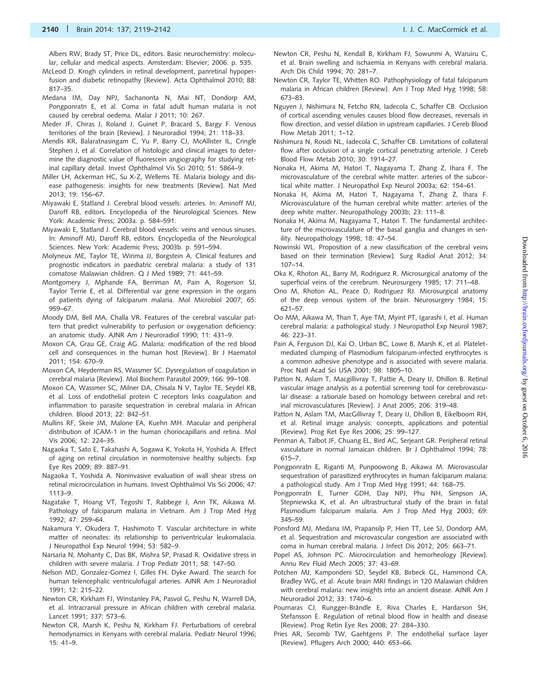<span id="page-21-0"></span>Albers RW, Brady ST, Price DL, editors. Basic neurochemistry: molecular, cellular and medical aspects. Amsterdam: Elsevier; 2006. p. 535.

- McLeod D. Krogh cylinders in retinal development, panretinal hypoperfusion and diabetic retinopathy [Review]. Acta Ophthalmol 2010; 88: 817–35.
- Medana IM, Day NPJ, Sachanonta N, Mai NT, Dondorp AM, Pongponratn E, et al. Coma in fatal adult human malaria is not caused by cerebral oedema. Malar J 2011; 10: 267.
- Meder JF, Chiras J, Roland J, Guinet P, Bracard S, Bargy F. Venous territories of the brain [Review]. J Neuroradiol 1994; 21: 118–33.
- Mendis KR, Balaratnasingam C, Yu P, Barry CJ, McAllister IL, Cringle Stephen J, et al. Correlation of histologic and clinical images to determine the diagnostic value of fluorescein angiography for studying retinal capillary detail. Invest Ophthalmol Vis Sci 2010; 51: 5864–9.
- Miller LH, Ackerman HC, Su X-Z, Wellems TE. Malaria biology and disease pathogenesis: insights for new treatments [Review]. Nat Med 2013; 19: 156–67.
- Miyawaki E, Statland J. Cerebral blood vessels: arteries. In: Aminoff MJ, Daroff RB, editors. Encyclopedia of the Neurological Sciences. New York: Academic Press; 2003a. p. 584–591.
- Miyawaki E, Statland J. Cerebral blood vessels: veins and venous sinuses. In: Aminoff MJ, Daroff RB, editors. Encyclopedia of the Neurological Sciences. New York: Academic Press; 2003b. p. 591–594.
- Molyneux ME, Taylor TE, Wirima JJ, Borgstein A. Clinical features and prognostic indicators in paediatric cerebral malaria: a study of 131 comatose Malawian children. Q J Med 1989; 71: 441–59.
- Montgomery J, Mphande FA, Berriman M, Pain A, Rogerson SJ, Taylor Terrie E, et al. Differential var gene expression in the organs of patients dying of falciparum malaria. Mol Microbiol 2007; 65: 959–67.
- Moody DM, Bell MA, Challa VR. Features of the cerebral vascular pattern that predict vulnerability to perfusion or oxygenation deficiency: an anatomic study. AJNR Am J Neuroradiol 1990; 11: 431–9.
- Moxon CA, Grau GE, Craig AG. Malaria: modification of the red blood cell and consequences in the human host [Review]. Br J Haematol 2011; 154: 670–9.
- Moxon CA, Heyderman RS, Wassmer SC. Dysregulation of coagulation in cerebral malaria [Review]. Mol Biochem Parasitol 2009; 166: 99–108.
- Moxon CA, Wassmer SC, Milner DA, Chisala N V, Taylor TE, Seydel KB, et al. Loss of endothelial protein C receptors links coagulation and inflammation to parasite sequestration in cerebral malaria in African children. Blood 2013; 22: 842–51.
- Mullins RF, Skeie JM, Malone EA, Kuehn MH. Macular and peripheral distribution of ICAM-1 in the human choriocapillaris and retina. Mol Vis 2006; 12: 224–35.
- Nagaoka T, Sato E, Takahashi A, Sogawa K, Yokota H, Yoshida A. Effect of aging on retinal circulation in normotensive healthy subjects. Exp Eye Res 2009; 89: 887–91.
- Nagaoka T, Yoshida A. Noninvasive evaluation of wall shear stress on retinal microcirculation in humans. Invest Ophthalmol Vis Sci 2006; 47: 1113–9.
- Nagatake T, Hoang VT, Tegoshi T, Rabbege J, Ann TK, Aikawa M. Pathology of falciparum malaria in Vietnam. Am J Trop Med Hyg 1992; 47: 259–64.
- Nakamura Y, Okudera T, Hashimoto T. Vascular architecture in white matter of neonates: its relationship to periventricular leukomalacia. J Neuropathol Exp Neurol 1994; 53: 582–9.
- Narsaria N, Mohanty C, Das BK, Mishra SP, Prasad R. Oxidative stress in children with severe malaria. J Trop Pediatr 2011; 58: 147–50.
- Nelson MD, Gonzalez-Gomez I, Gilles FH. Dyke Award. The search for human telencephalic ventriculofugal arteries. AJNR Am J Neuroradiol 1991; 12: 215–22.
- Newton CR, Kirkham FJ, Winstanley PA, Pasvol G, Peshu N, Warrell DA, et al. Intracranial pressure in African children with cerebral malaria. Lancet 1991; 337: 573–6.
- Newton CR, Marsh K, Peshu N, Kirkham FJ. Perturbations of cerebral hemodynamics in Kenyans with cerebral malaria. Pediatr Neurol 1996; 15: 41–9.
- Newton CR, Peshu N, Kendall B, Kirkham FJ, Sowunmi A, Waruiru C, et al. Brain swelling and ischaemia in Kenyans with cerebral malaria. Arch Dis Child 1994; 70: 281–7.
- Newton CR, Taylor TE, Whitten RO. Pathophysiology of fatal falciparum malaria in African children [Review]. Am J Trop Med Hyg 1998; 58: 673–83.
- Nguyen J, Nishimura N, Fetcho RN, Iadecola C, Schaffer CB. Occlusion of cortical ascending venules causes blood flow decreases, reversals in flow direction, and vessel dilation in upstream capillaries. J Cereb Blood Flow Metab 2011; 1–12.
- Nishimura N, Rosidi NL, Iadecola C, Schaffer CB. Limitations of collateral flow after occlusion of a single cortical penetrating arteriole. J Cereb Blood Flow Metab 2010; 30: 1914–27.
- Nonaka H, Akima M, Hatori T, Nagayama T, Zhang Z, Ihara F. The microvasculature of the cerebral white matter: arteries of the subcortical white matter. J Neuropathol Exp Neurol 2003a; 62: 154–61.
- Nonaka H, Akima M, Hatori T, Nagayama T, Zhang Z, Ihara F. Microvasculature of the human cerebral white matter: arteries of the deep white matter. Neuropathology 2003b; 23: 111–8.
- Nonaka H, Akima M, Nagayama T, Hatori T. The fundamental architecture of the microvasculature of the basal ganglia and changes in senility. Neuropathology 1998; 18: 47–54.
- Nowinski WL. Proposition of a new classification of the cerebral veins based on their termination [Review]. Surg Radiol Anat 2012; 34: 107–14.
- Oka K, Rhoton AL, Barry M, Rodriguez R. Microsurgical anatomy of the superficial veins of the cerebrum. Neurosurgery 1985; 17: 711–48.
- Ono M, Rhoton AL, Peace D, Rodriguez RJ. Microsurgical anatomy of the deep venous system of the brain. Neurosurgery 1984; 15: 621–57.
- Oo MM, Aikawa M, Than T, Aye TM, Myint PT, Igarashi I, et al. Human cerebral malaria: a pathological study. J Neuropathol Exp Neurol 1987; 46: 223–31.
- Pain A, Ferguson DJ, Kai O, Urban BC, Lowe B, Marsh K, et al. Plateletmediated clumping of Plasmodium falciparum-infected erythrocytes is a common adhesive phenotype and is associated with severe malaria. Proc Natl Acad Sci USA 2001; 98: 1805–10.
- Patton N, Aslam T, Macgillivray T, Pattie A, Deary IJ, Dhillon B. Retinal vascular image analysis as a potential screening tool for cerebrovascular disease: a rationale based on homology between cerebral and retinal microvasculatures [Review]. J Anat 2005; 206: 319–48.
- Patton N, Aslam TM, MacGillivray T, Deary IJ, Dhillon B, Eikelboom RH, et al. Retinal image analysis: concepts, applications and potential [Review]. Prog Ret Eye Res 2006; 25: 99–127.
- Penman A, Talbot JF, Chuang EL, Bird AC, Serjeant GR. Peripheral retinal vasculature in normal Jamaican children. Br J Ophthalmol 1994; 78: 615–7.
- Pongponratn E, Riganti M, Punpoowong B, Aikawa M. Microvascular sequestration of parasitized erythrocytes in human falciparum malaria: a pathological study. Am J Trop Med Hyg 1991; 44: 168–75.
- Pongponratn E, Turner GDH, Day NPJ, Phu NH, Simpson JA, Stepniewska K, et al. An ultrastructural study of the brain in fatal Plasmodium falciparum malaria. Am J Trop Med Hyg 2003; 69: 345–59.
- Ponsford MJ, Medana IM, Prapansilp P, Hien TT, Lee SJ, Dondorp AM, et al. Sequestration and microvascular congestion are associated with coma in human cerebral malaria. J Infect Dis 2012; 205: 663–71.
- Popel AS, Johnson PC. Microcirculation and hemorheology [Review]. Annu Rev Fluid Mech 2005; 37: 43–69.
- Potchen MJ, Kampondeni SD, Seydel KB, Birbeck GL, Hammond CA, Bradley WG, et al. Acute brain MRI findings in 120 Malawian children with cerebral malaria: new insights into an ancient disease. AJNR Am J Neuroradiol 2012; 33: 1740–6.
- Pournaras CJ, Rungger-Brändle E, Riva Charles E, Hardarson SH, Stefansson E. Regulation of retinal blood flow in health and disease [Review]. Prog Retin Eye Res 2008; 27: 284–330.
- Pries AR, Secomb TW, Gaehtgens P. The endothelial surface layer [Review]. Pflugers Arch 2000; 440: 653–66.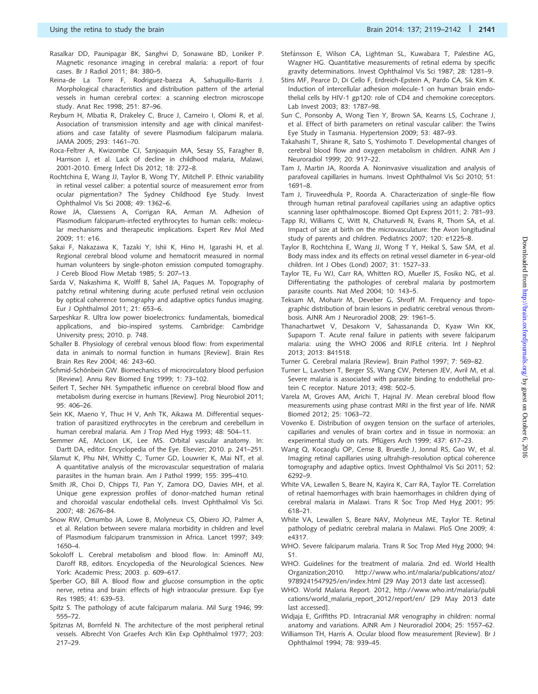- <span id="page-22-0"></span>Rasalkar DD, Paunipagar BK, Sanghvi D, Sonawane BD, Loniker P. Magnetic resonance imaging in cerebral malaria: a report of four cases. Br J Radiol 2011; 84: 380–5.
- Reina-de La Torre F, Rodriguez-baeza A, Sahuquillo-Barris J. Morphological characteristics and distribution pattern of the arterial vessels in human cerebral cortex: a scanning electron microscope study. Anat Rec 1998; 251: 87–96.
- Reyburn H, Mbatia R, Drakeley C, Bruce J, Carneiro I, Olomi R, et al. Association of transmission intensity and age with clinical manifestations and case fatality of severe Plasmodium falciparum malaria. JAMA 2005; 293: 1461–70.
- Roca-Feltrer A, Kwizombe CJ, Sanjoaquin MA, Sesay SS, Faragher B, Harrison J, et al. Lack of decline in childhood malaria, Malawi, 2001-2010. Emerg Infect Dis 2012; 18: 272–8.
- Rochtchina E, Wang JJ, Taylor B, Wong TY, Mitchell P. Ethnic variability in retinal vessel caliber: a potential source of measurement error from ocular pigmentation? The Sydney Childhood Eye Study. Invest Ophthalmol Vis Sci 2008; 49: 1362–6.
- Rowe JA, Claessens A, Corrigan RA, Arman M. Adhesion of Plasmodium falciparum-infected erythrocytes to human cells: molecular mechanisms and therapeutic implications. Expert Rev Mol Med 2009; 11: e16.
- Sakai F, Nakazawa K, Tazaki Y, Ishii K, Hino H, Igarashi H, et al. Regional cerebral blood volume and hematocrit measured in normal human volunteers by single-photon emission computed tomography. J Cereb Blood Flow Metab 1985; 5: 207–13.
- Sarda V, Nakashima K, Wolff B, Sahel JA, Paques M. Topography of patchy retinal whitening during acute perfused retinal vein occlusion by optical coherence tomography and adaptive optics fundus imaging. Eur J Ophthalmol 2011; 21: 653–6.
- Sarpeshkar R. Ultra low power bioelectronics: fundamentals, biomedical applications, and bio-inspired systems. Cambridge: Cambridge University press; 2010. p. 748.
- Schaller B. Physiology of cerebral venous blood flow: from experimental data in animals to normal function in humans [Review]. Brain Res Brain Res Rev 2004; 46: 243–60.
- Schmid-Schönbein GW. Biomechanics of microcirculatory blood perfusion [Review]. Annu Rev Biomed Eng 1999; 1: 73–102.
- Seifert T, Secher NH. Sympathetic influence on cerebral blood flow and metabolism during exercise in humans [Review]. Prog Neurobiol 2011;  $95.406 - 26.$
- Sein KK, Maeno Y, Thuc H V, Anh TK, Aikawa M. Differential sequestration of parasitized erythrocytes in the cerebrum and cerebellum in human cerebral malaria. Am J Trop Med Hyg 1993; 48: 504–11.
- Semmer AE, McLoon LK, Lee MS. Orbital vascular anatomy. In: Dartt DA, editor. Encyclopedia of the Eye. Elsevier; 2010. p. 241–251.
- Silamut K, Phu NH, Whitty C, Turner GD, Louwrier K, Mai NT, et al. A quantitative analysis of the microvascular sequestration of malaria parasites in the human brain. Am J Pathol 1999; 155: 395–410.
- Smith JR, Choi D, Chipps TJ, Pan Y, Zamora DO, Davies MH, et al. Unique gene expression profiles of donor-matched human retinal and choroidal vascular endothelial cells. Invest Ophthalmol Vis Sci. 2007; 48: 2676–84.
- Snow RW, Omumbo JA, Lowe B, Molyneux CS, Obiero JO, Palmer A, et al. Relation between severe malaria morbidity in children and level of Plasmodium falciparum transmission in Africa. Lancet 1997; 349: 1650–4.
- Sokoloff L. Cerebral metabolism and blood flow. In: Aminoff MJ, Daroff RB, editors. Encyclopedia of the Neurological Sciences. New York: Academic Press; 2003. p. 609–617.
- Sperber GO, Bill A. Blood flow and glucose consumption in the optic nerve, retina and brain: effects of high intraocular pressure. Exp Eye Res 1985; 41: 639–53.
- Spitz S. The pathology of acute falciparum malaria. Mil Surg 1946; 99: 555–72.
- Spitznas M, Bornfeld N. The architecture of the most peripheral retinal vessels. Albrecht Von Graefes Arch Klin Exp Ophthalmol 1977; 203: 217–29.
- Stefánsson E, Wilson CA, Lightman SL, Kuwabara T, Palestine AG, Wagner HG. Quantitative measurements of retinal edema by specific gravity determinations. Invest Ophthalmol Vis Sci 1987; 28: 1281–9.
- Stins MF, Pearce D, Di Cello F, Erdreich-Epstein A, Pardo CA, Sik Kim K. Induction of intercellular adhesion molecule-1 on human brain endothelial cells by HIV-1 gp120: role of CD4 and chemokine coreceptors. Lab Invest 2003; 83: 1787–98.
- Sun C, Ponsonby A, Wong Tien Y, Brown SA, Kearns LS, Cochrane J, et al. Effect of birth parameters on retinal vascular caliber: the Twins Eye Study in Tasmania. Hypertension 2009; 53: 487–93.
- Takahashi T, Shirane R, Sato S, Yoshimoto T. Developmental changes of cerebral blood flow and oxygen metabolism in children. AJNR Am J Neuroradiol 1999; 20: 917–22.
- Tam J, Martin JA, Roorda A. Noninvasive visualization and analysis of parafoveal capillaries in humans. Invest Ophthalmol Vis Sci 2010; 51: 1691–8.
- Tam J, Tiruveedhula P, Roorda A. Characterization of single-file flow through human retinal parafoveal capillaries using an adaptive optics scanning laser ophthalmoscope. Biomed Opt Express 2011; 2: 781–93.
- Tapp RJ, Williams C, Witt N, Chaturvedi N, Evans R, Thom SA, et al. Impact of size at birth on the microvasculature: the Avon longitudinal study of parents and children. Pediatrics 2007; 120: e1225–8.
- Taylor B, Rochtchina E, Wang JJ, Wong T Y, Heikal S, Saw SM, et al. Body mass index and its effects on retinal vessel diameter in 6-year-old children. Int J Obes (Lond) 2007; 31: 1527–33.
- Taylor TE, Fu WJ, Carr RA, Whitten RO, Mueller JS, Fosiko NG, et al. Differentiating the pathologies of cerebral malaria by postmortem parasite counts. Nat Med 2004; 10: 143–5.
- Teksam M, Moharir M, Deveber G, Shroff M. Frequency and topographic distribution of brain lesions in pediatric cerebral venous thrombosis. AJNR Am J Neuroradiol 2008; 29: 1961–5.
- Thanachartwet V, Desakorn V, Sahassananda D, Kyaw Win KK, Supaporn T. Acute renal failure in patients with severe falciparum malaria: using the WHO 2006 and RIFLE criteria. Int J Nephrol 2013; 2013: 841518.
- Turner G. Cerebral malaria [Review]. Brain Pathol 1997; 7: 569–82.
- Turner L, Lavstsen T, Berger SS, Wang CW, Petersen JEV, Avril M, et al. Severe malaria is associated with parasite binding to endothelial protein C receptor. Nature 2013; 498: 502–5.
- Varela M, Groves AM, Arichi T, Hajnal JV. Mean cerebral blood flow measurements using phase contrast MRI in the first year of life. NMR Biomed 2012; 25: 1063–72.
- Vovenko E. Distribution of oxygen tension on the surface of arterioles, capillaries and venules of brain cortex and in tissue in normoxia: an experimental study on rats. Pflügers Arch 1999; 437: 617-23.
- Wang Q, Kocaoglu OP, Cense B, Bruestle J, Jonnal RS, Gao W, et al. Imaging retinal capillaries using ultrahigh-resolution optical coherence tomography and adaptive optics. Invest Ophthalmol Vis Sci 2011; 52: 6292–9.
- White VA, Lewallen S, Beare N, Kayira K, Carr RA, Taylor TE. Correlation of retinal haemorrhages with brain haemorrhages in children dying of cerebral malaria in Malawi. Trans R Soc Trop Med Hyg 2001; 95: 618–21.
- White VA, Lewallen S, Beare NAV, Molyneux ME, Taylor TE. Retinal pathology of pediatric cerebral malaria in Malawi. PloS One 2009; 4: e4317.
- WHO. Severe falciparum malaria. Trans R Soc Trop Med Hyg 2000; 94: S1.
- WHO. Guidelines for the treatment of malaria. 2nd ed. World Health Organization;2010. [http://www.who.int/malaria/publications/atoz/](http://www.who.int/malaria/publications/atoz/9789241547925/en/index.html) [9789241547925/en/index.html](http://www.who.int/malaria/publications/atoz/9789241547925/en/index.html) [29 May 2013 date last accessed].
- WHO. World Malaria Report. 2012, [http://www.who.int/malaria/publi](http://www.who.int/malaria/publications/world_malaria_report_2012/report/en/) [cations/world\\_malaria\\_report\\_2012/report/en/](http://www.who.int/malaria/publications/world_malaria_report_2012/report/en/) [29 May 2013 date last accessed].
- Widjaja E, Griffiths PD. Intracranial MR venography in children: normal anatomy and variations. AJNR Am J Neuroradiol 2004; 25: 1557–62.
- Williamson TH, Harris A. Ocular blood flow measurement [Review]. Br J Ophthalmol 1994; 78: 939–45.